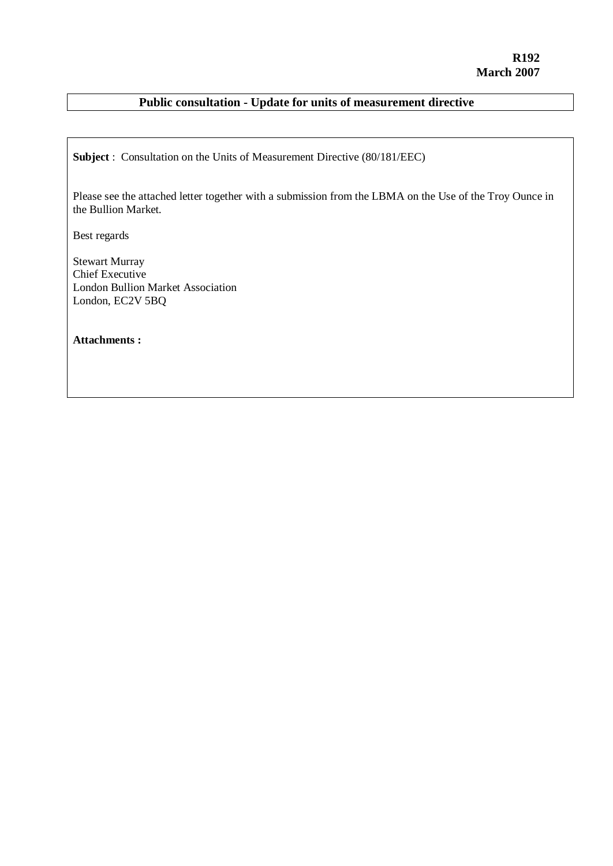### **Public consultation - Update for units of measurement directive**

**Subject** : Consultation on the Units of Measurement Directive (80/181/EEC)

Please see the attached letter together with a submission from the LBMA on the Use of the Troy Ounce in the Bullion Market.

Best regards

Stewart Murray Chief Executive London Bullion Market Association London, EC2V 5BQ

**Attachments :**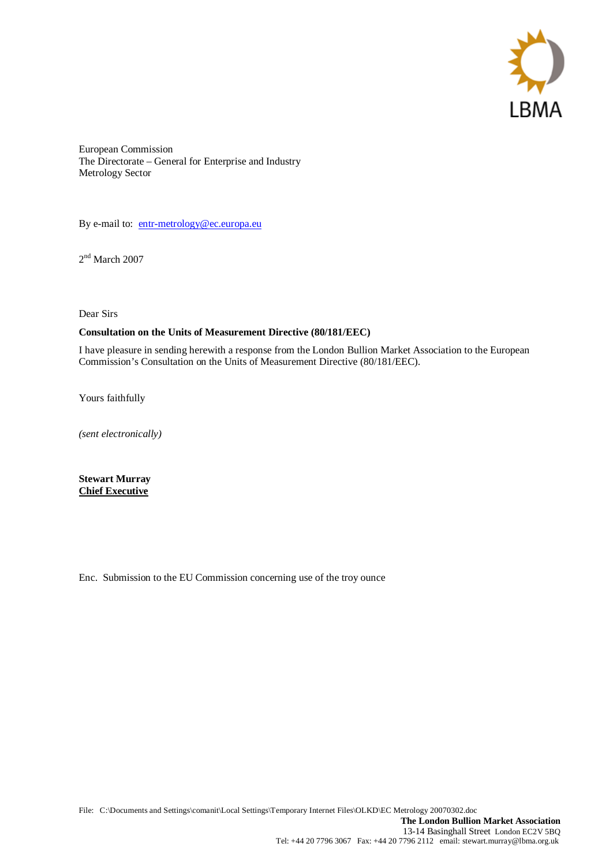

European Commission The Directorate – General for Enterprise and Industry Metrology Sector

By e-mail to: entr-metrology@ec.europa.eu

2<sup>nd</sup> March 2007

Dear Sirs

#### **Consultation on the Units of Measurement Directive (80/181/EEC)**

I have pleasure in sending herewith a response from the London Bullion Market Association to the European Commission's Consultation on the Units of Measurement Directive (80/181/EEC).

Yours faithfully

*(sent electronically)*

**Stewart Murray Chief Executive**

Enc. Submission to the EU Commission concerning use of the troy ounce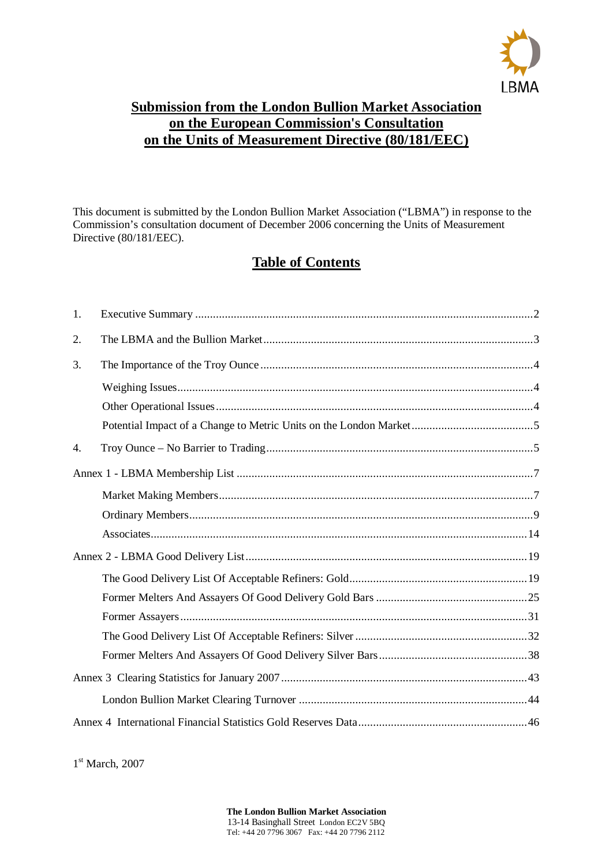

## **Submission from the London Bullion Market Association on the European Commission's Consultation on the Units of Measurement Directive (80/181/EEC)**

This document is submitted by the London Bullion Market Association ("LBMA") in response to the Commission's consultation document of December 2006 concerning the Units of Measurement Directive (80/181/EEC).

## **Table of Contents**

| 1. |  |
|----|--|
| 2. |  |
| 3. |  |
|    |  |
|    |  |
|    |  |
| 4. |  |
|    |  |
|    |  |
|    |  |
|    |  |
|    |  |
|    |  |
|    |  |
|    |  |
|    |  |
|    |  |
|    |  |
|    |  |
|    |  |

1<sup>st</sup> March, 2007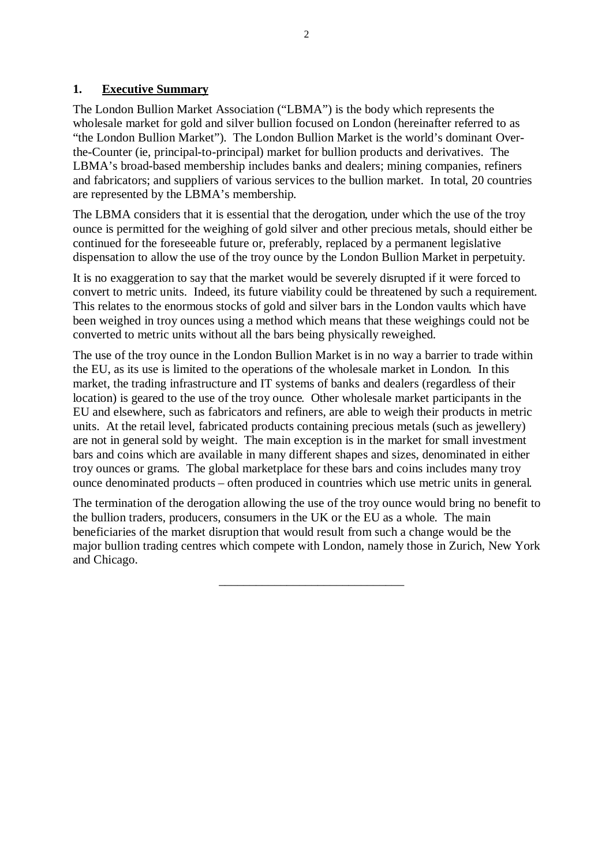#### **1. Executive Summary**

The London Bullion Market Association ("LBMA") is the body which represents the wholesale market for gold and silver bullion focused on London (hereinafter referred to as "the London Bullion Market"). The London Bullion Market is the world's dominant Overthe-Counter (ie, principal-to-principal) market for bullion products and derivatives. The LBMA's broad-based membership includes banks and dealers; mining companies, refiners and fabricators; and suppliers of various services to the bullion market. In total, 20 countries are represented by the LBMA's membership.

The LBMA considers that it is essential that the derogation, under which the use of the troy ounce is permitted for the weighing of gold silver and other precious metals, should either be continued for the foreseeable future or, preferably, replaced by a permanent legislative dispensation to allow the use of the troy ounce by the London Bullion Market in perpetuity.

It is no exaggeration to say that the market would be severely disrupted if it were forced to convert to metric units. Indeed, its future viability could be threatened by such a requirement. This relates to the enormous stocks of gold and silver bars in the London vaults which have been weighed in troy ounces using a method which means that these weighings could not be converted to metric units without all the bars being physically reweighed.

The use of the troy ounce in the London Bullion Market is in no way a barrier to trade within the EU, as its use is limited to the operations of the wholesale market in London. In this market, the trading infrastructure and IT systems of banks and dealers (regardless of their location) is geared to the use of the troy ounce. Other wholesale market participants in the EU and elsewhere, such as fabricators and refiners, are able to weigh their products in metric units. At the retail level, fabricated products containing precious metals (such as jewellery) are not in general sold by weight. The main exception is in the market for small investment bars and coins which are available in many different shapes and sizes, denominated in either troy ounces or grams. The global marketplace for these bars and coins includes many troy ounce denominated products – often produced in countries which use metric units in general.

The termination of the derogation allowing the use of the troy ounce would bring no benefit to the bullion traders, producers, consumers in the UK or the EU as a whole. The main beneficiaries of the market disruption that would result from such a change would be the major bullion trading centres which compete with London, namely those in Zurich, New York and Chicago.

\_\_\_\_\_\_\_\_\_\_\_\_\_\_\_\_\_\_\_\_\_\_\_\_\_\_\_\_\_\_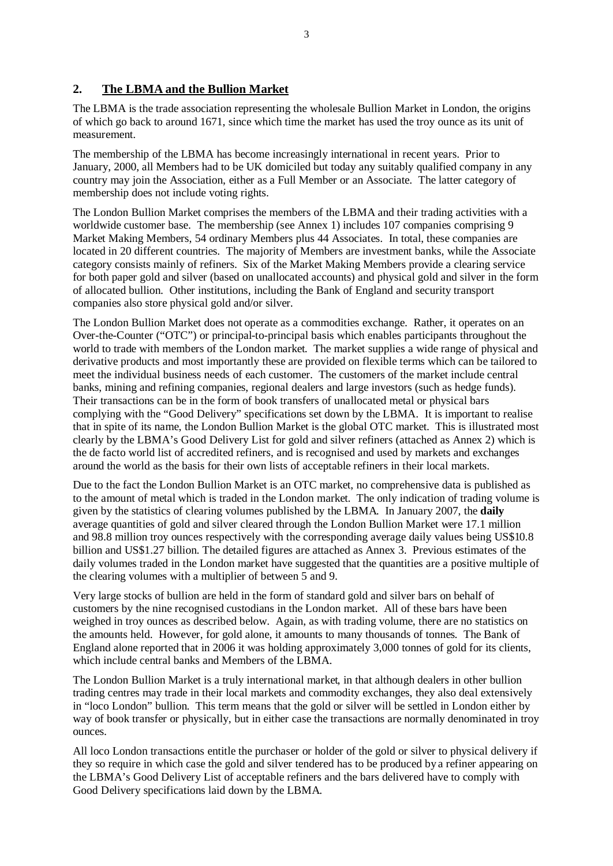#### **2. The LBMA and the Bullion Market**

The LBMA is the trade association representing the wholesale Bullion Market in London, the origins of which go back to around 1671, since which time the market has used the troy ounce as its unit of measurement.

The membership of the LBMA has become increasingly international in recent years. Prior to January, 2000, all Members had to be UK domiciled but today any suitably qualified company in any country may join the Association, either as a Full Member or an Associate. The latter category of membership does not include voting rights.

The London Bullion Market comprises the members of the LBMA and their trading activities with a worldwide customer base. The membership (see Annex 1) includes 107 companies comprising 9 Market Making Members, 54 ordinary Members plus 44 Associates. In total, these companies are located in 20 different countries. The majority of Members are investment banks, while the Associate category consists mainly of refiners. Six of the Market Making Members provide a clearing service for both paper gold and silver (based on unallocated accounts) and physical gold and silver in the form of allocated bullion. Other institutions, including the Bank of England and security transport companies also store physical gold and/or silver.

The London Bullion Market does not operate as a commodities exchange. Rather, it operates on an Over-the-Counter ("OTC") or principal-to-principal basis which enables participants throughout the world to trade with members of the London market. The market supplies a wide range of physical and derivative products and most importantly these are provided on flexible terms which can be tailored to meet the individual business needs of each customer. The customers of the market include central banks, mining and refining companies, regional dealers and large investors (such as hedge funds). Their transactions can be in the form of book transfers of unallocated metal or physical bars complying with the "Good Delivery" specifications set down by the LBMA. It is important to realise that in spite of its name, the London Bullion Market is the global OTC market. This is illustrated most clearly by the LBMA's Good Delivery List for gold and silver refiners (attached as Annex 2) which is the de facto world list of accredited refiners, and is recognised and used by markets and exchanges around the world as the basis for their own lists of acceptable refiners in their local markets.

Due to the fact the London Bullion Market is an OTC market, no comprehensive data is published as to the amount of metal which is traded in the London market. The only indication of trading volume is given by the statistics of clearing volumes published by the LBMA. In January 2007, the **daily** average quantities of gold and silver cleared through the London Bullion Market were 17.1 million and 98.8 million troy ounces respectively with the corresponding average daily values being US\$10.8 billion and US\$1.27 billion. The detailed figures are attached as Annex 3. Previous estimates of the daily volumes traded in the London market have suggested that the quantities are a positive multiple of the clearing volumes with a multiplier of between 5 and 9.

Very large stocks of bullion are held in the form of standard gold and silver bars on behalf of customers by the nine recognised custodians in the London market. All of these bars have been weighed in troy ounces as described below. Again, as with trading volume, there are no statistics on the amounts held. However, for gold alone, it amounts to many thousands of tonnes. The Bank of England alone reported that in 2006 it was holding approximately 3,000 tonnes of gold for its clients, which include central banks and Members of the LBMA.

The London Bullion Market is a truly international market, in that although dealers in other bullion trading centres may trade in their local markets and commodity exchanges, they also deal extensively in "loco London" bullion. This term means that the gold or silver will be settled in London either by way of book transfer or physically, but in either case the transactions are normally denominated in troy ounces.

All loco London transactions entitle the purchaser or holder of the gold or silver to physical delivery if they so require in which case the gold and silver tendered has to be produced by a refiner appearing on the LBMA's Good Delivery List of acceptable refiners and the bars delivered have to comply with Good Delivery specifications laid down by the LBMA.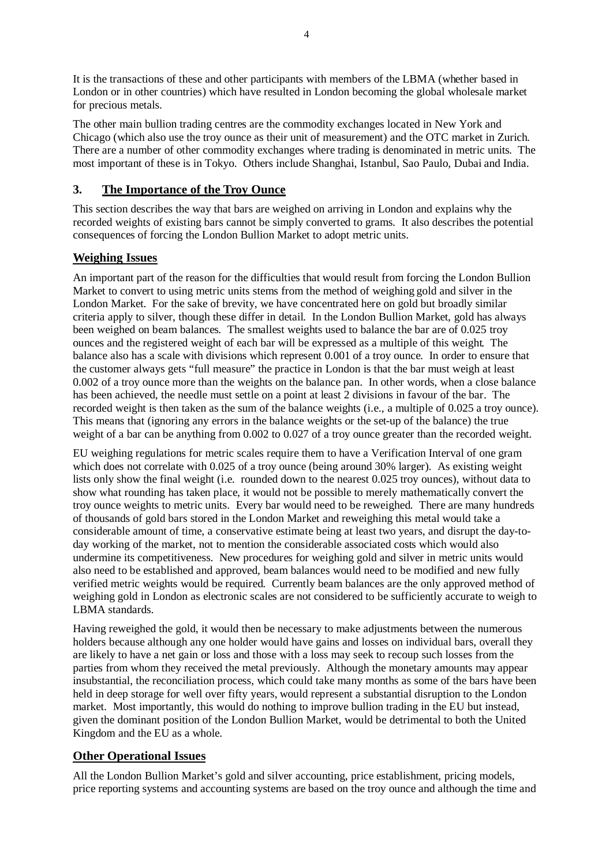It is the transactions of these and other participants with members of the LBMA (whether based in London or in other countries) which have resulted in London becoming the global wholesale market for precious metals.

The other main bullion trading centres are the commodity exchanges located in New York and Chicago (which also use the troy ounce as their unit of measurement) and the OTC market in Zurich. There are a number of other commodity exchanges where trading is denominated in metric units. The most important of these is in Tokyo. Others include Shanghai, Istanbul, Sao Paulo, Dubai and India.

#### **3. The Importance of the Troy Ounce**

This section describes the way that bars are weighed on arriving in London and explains why the recorded weights of existing bars cannot be simply converted to grams. It also describes the potential consequences of forcing the London Bullion Market to adopt metric units.

#### **Weighing Issues**

An important part of the reason for the difficulties that would result from forcing the London Bullion Market to convert to using metric units stems from the method of weighing gold and silver in the London Market. For the sake of brevity, we have concentrated here on gold but broadly similar criteria apply to silver, though these differ in detail. In the London Bullion Market, gold has always been weighed on beam balances. The smallest weights used to balance the bar are of 0.025 troy ounces and the registered weight of each bar will be expressed as a multiple of this weight. The balance also has a scale with divisions which represent 0.001 of a troy ounce. In order to ensure that the customer always gets "full measure" the practice in London is that the bar must weigh at least 0.002 of a troy ounce more than the weights on the balance pan. In other words, when a close balance has been achieved, the needle must settle on a point at least 2 divisions in favour of the bar. The recorded weight is then taken as the sum of the balance weights (i.e., a multiple of 0.025 a troy ounce). This means that (ignoring any errors in the balance weights or the set-up of the balance) the true weight of a bar can be anything from 0.002 to 0.027 of a troy ounce greater than the recorded weight.

EU weighing regulations for metric scales require them to have a Verification Interval of one gram which does not correlate with 0.025 of a troy ounce (being around 30% larger). As existing weight lists only show the final weight (i.e. rounded down to the nearest 0.025 troy ounces), without data to show what rounding has taken place, it would not be possible to merely mathematically convert the troy ounce weights to metric units. Every bar would need to be reweighed. There are many hundreds of thousands of gold bars stored in the London Market and reweighing this metal would take a considerable amount of time, a conservative estimate being at least two years, and disrupt the day-today working of the market, not to mention the considerable associated costs which would also undermine its competitiveness. New procedures for weighing gold and silver in metric units would also need to be established and approved, beam balances would need to be modified and new fully verified metric weights would be required. Currently beam balances are the only approved method of weighing gold in London as electronic scales are not considered to be sufficiently accurate to weigh to LBMA standards.

Having reweighed the gold, it would then be necessary to make adjustments between the numerous holders because although any one holder would have gains and losses on individual bars, overall they are likely to have a net gain or loss and those with a loss may seek to recoup such losses from the parties from whom they received the metal previously. Although the monetary amounts may appear insubstantial, the reconciliation process, which could take many months as some of the bars have been held in deep storage for well over fifty years, would represent a substantial disruption to the London market. Most importantly, this would do nothing to improve bullion trading in the EU but instead, given the dominant position of the London Bullion Market, would be detrimental to both the United Kingdom and the EU as a whole.

#### **Other Operational Issues**

All the London Bullion Market's gold and silver accounting, price establishment, pricing models, price reporting systems and accounting systems are based on the troy ounce and although the time and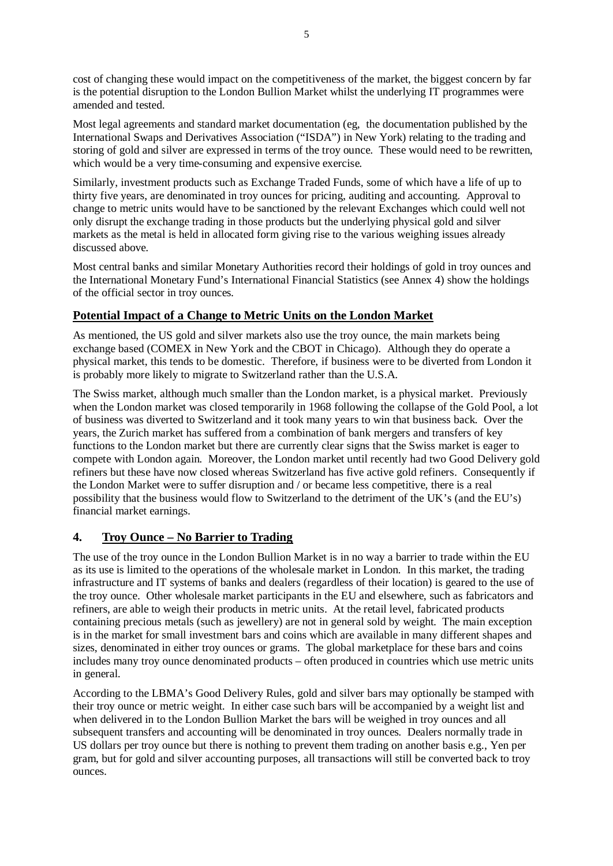cost of changing these would impact on the competitiveness of the market, the biggest concern by far is the potential disruption to the London Bullion Market whilst the underlying IT programmes were amended and tested.

Most legal agreements and standard market documentation (eg, the documentation published by the International Swaps and Derivatives Association ("ISDA") in New York) relating to the trading and storing of gold and silver are expressed in terms of the troy ounce. These would need to be rewritten, which would be a very time-consuming and expensive exercise.

Similarly, investment products such as Exchange Traded Funds, some of which have a life of up to thirty five years, are denominated in troy ounces for pricing, auditing and accounting. Approval to change to metric units would have to be sanctioned by the relevant Exchanges which could well not only disrupt the exchange trading in those products but the underlying physical gold and silver markets as the metal is held in allocated form giving rise to the various weighing issues already discussed above.

Most central banks and similar Monetary Authorities record their holdings of gold in troy ounces and the International Monetary Fund's International Financial Statistics (see Annex 4) show the holdings of the official sector in troy ounces.

#### **Potential Impact of a Change to Metric Units on the London Market**

As mentioned, the US gold and silver markets also use the troy ounce, the main markets being exchange based (COMEX in New York and the CBOT in Chicago). Although they do operate a physical market, this tends to be domestic. Therefore, if business were to be diverted from London it is probably more likely to migrate to Switzerland rather than the U.S.A.

The Swiss market, although much smaller than the London market, is a physical market. Previously when the London market was closed temporarily in 1968 following the collapse of the Gold Pool, a lot of business was diverted to Switzerland and it took many years to win that business back. Over the years, the Zurich market has suffered from a combination of bank mergers and transfers of key functions to the London market but there are currently clear signs that the Swiss market is eager to compete with London again. Moreover, the London market until recently had two Good Delivery gold refiners but these have now closed whereas Switzerland has five active gold refiners. Consequently if the London Market were to suffer disruption and / or became less competitive, there is a real possibility that the business would flow to Switzerland to the detriment of the UK's (and the EU's) financial market earnings.

#### **4. Troy Ounce – No Barrier to Trading**

The use of the troy ounce in the London Bullion Market is in no way a barrier to trade within the EU as its use is limited to the operations of the wholesale market in London. In this market, the trading infrastructure and IT systems of banks and dealers (regardless of their location) is geared to the use of the troy ounce. Other wholesale market participants in the EU and elsewhere, such as fabricators and refiners, are able to weigh their products in metric units. At the retail level, fabricated products containing precious metals (such as jewellery) are not in general sold by weight. The main exception is in the market for small investment bars and coins which are available in many different shapes and sizes, denominated in either troy ounces or grams. The global marketplace for these bars and coins includes many troy ounce denominated products – often produced in countries which use metric units in general.

According to the LBMA's Good Delivery Rules, gold and silver bars may optionally be stamped with their troy ounce or metric weight. In either case such bars will be accompanied by a weight list and when delivered in to the London Bullion Market the bars will be weighed in troy ounces and all subsequent transfers and accounting will be denominated in troy ounces. Dealers normally trade in US dollars per troy ounce but there is nothing to prevent them trading on another basis e.g., Yen per gram, but for gold and silver accounting purposes, all transactions will still be converted back to troy ounces.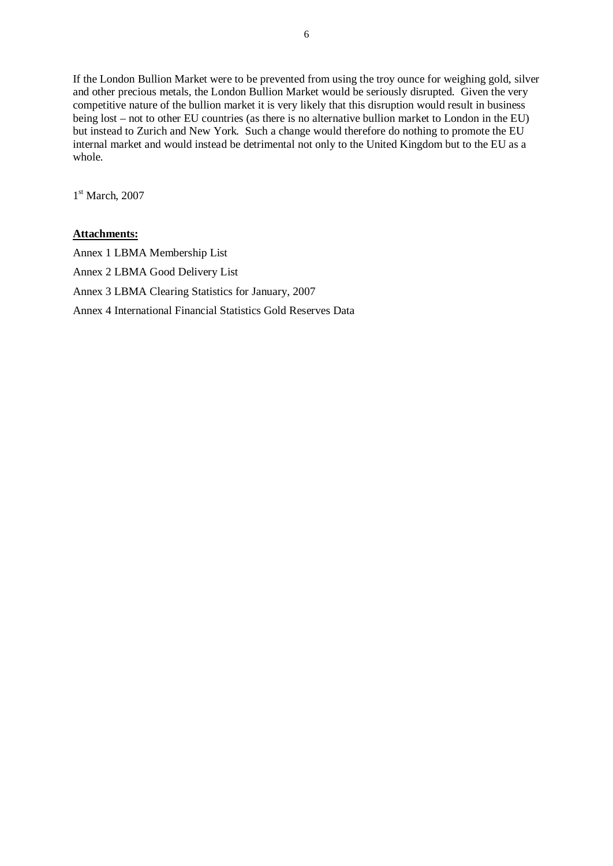If the London Bullion Market were to be prevented from using the troy ounce for weighing gold, silver and other precious metals, the London Bullion Market would be seriously disrupted. Given the very competitive nature of the bullion market it is very likely that this disruption would result in business being lost – not to other EU countries (as there is no alternative bullion market to London in the EU) but instead to Zurich and New York. Such a change would therefore do nothing to promote the EU internal market and would instead be detrimental not only to the United Kingdom but to the EU as a whole.

1<sup>st</sup> March, 2007

#### **Attachments:**

Annex 1 LBMA Membership List Annex 2 LBMA Good Delivery List Annex 3 LBMA Clearing Statistics for January, 2007 Annex 4 International Financial Statistics Gold Reserves Data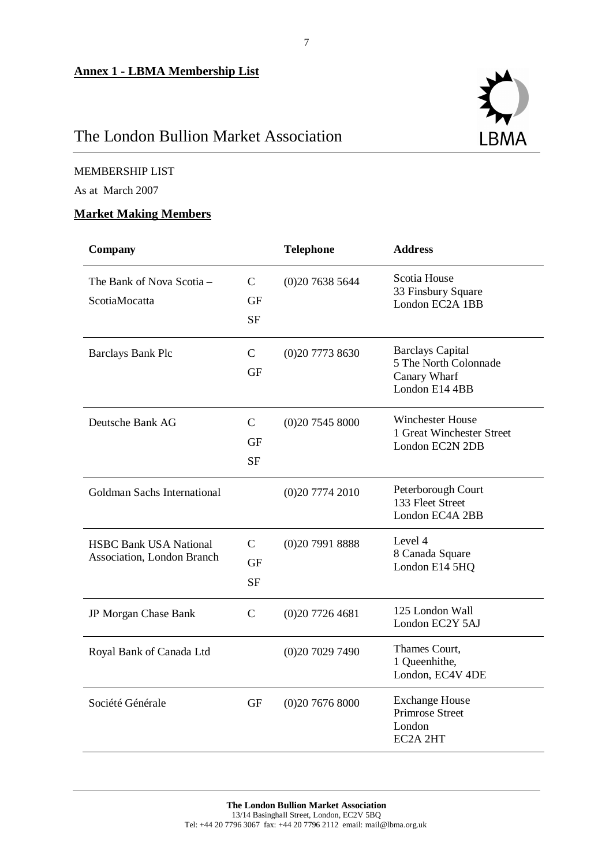## The London Bullion Market Association

#### MEMBERSHIP LIST

As at March 2007

#### **Market Making Members**

| <b>Company</b>                                              |                                         | <b>Telephone</b> | <b>Address</b>                                                                     |
|-------------------------------------------------------------|-----------------------------------------|------------------|------------------------------------------------------------------------------------|
| The Bank of Nova Scotia -<br>ScotiaMocatta                  | $\mathsf{C}$<br>GF<br><b>SF</b>         | (0)2076385644    | Scotia House<br>33 Finsbury Square<br>London EC2A 1BB                              |
| <b>Barclays Bank Plc</b>                                    | $\mathsf{C}$<br><b>GF</b>               | (0)2077738630    | <b>Barclays Capital</b><br>5 The North Colonnade<br>Canary Wharf<br>London E14 4BB |
| Deutsche Bank AG                                            | $\mathcal{C}$<br>GF<br><b>SF</b>        | (0)2075458000    | Winchester House<br>1 Great Winchester Street<br>London EC2N 2DB                   |
| Goldman Sachs International                                 |                                         | (0)2077742010    | Peterborough Court<br>133 Fleet Street<br>London EC4A 2BB                          |
| <b>HSBC Bank USA National</b><br>Association, London Branch | $\mathcal{C}$<br><b>GF</b><br><b>SF</b> | (0)2079918888    | Level 4<br>8 Canada Square<br>London E14 5HQ                                       |
| JP Morgan Chase Bank                                        | $\mathsf{C}$                            | (0)2077264681    | 125 London Wall<br>London EC2Y 5AJ                                                 |
| Royal Bank of Canada Ltd                                    |                                         | (0)2070297490    | Thames Court,<br>1 Queenhithe,<br>London, EC4V 4DE                                 |
| Société Générale                                            | GF                                      | (0)2076768000    | <b>Exchange House</b><br><b>Primrose Street</b><br>London<br>EC2A 2HT              |

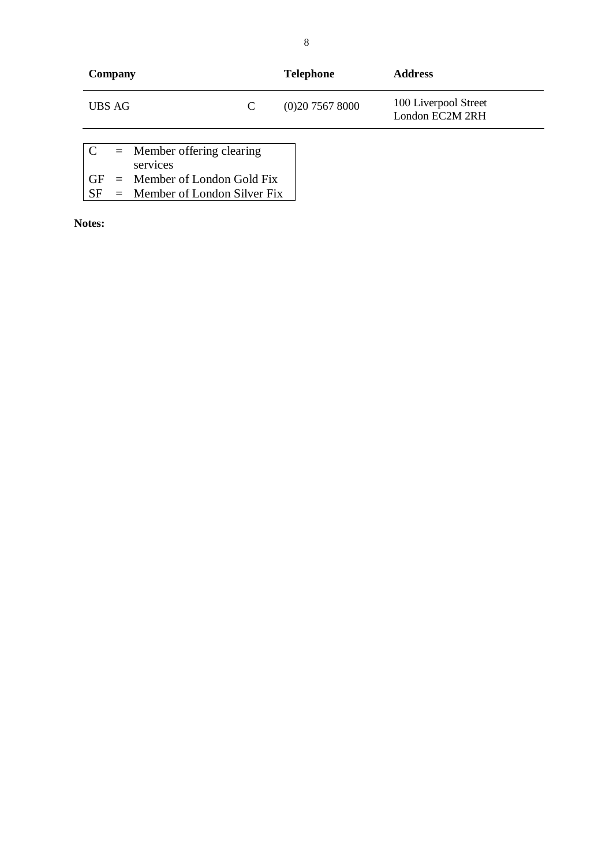| Company                                                   |   | <b>Telephone</b> | <b>Address</b>                          |
|-----------------------------------------------------------|---|------------------|-----------------------------------------|
| UBS AG                                                    | C | (0)2075678000    | 100 Liverpool Street<br>London EC2M 2RH |
| $\mathbf C$<br>$=$ Member offering clearing<br>---------- |   |                  |                                         |

| $\sim$ | $\frac{1}{2}$                    |
|--------|----------------------------------|
|        | services                         |
|        | $GF =$ Member of London Gold Fix |

SF = Member of London Silver Fix

**Notes:**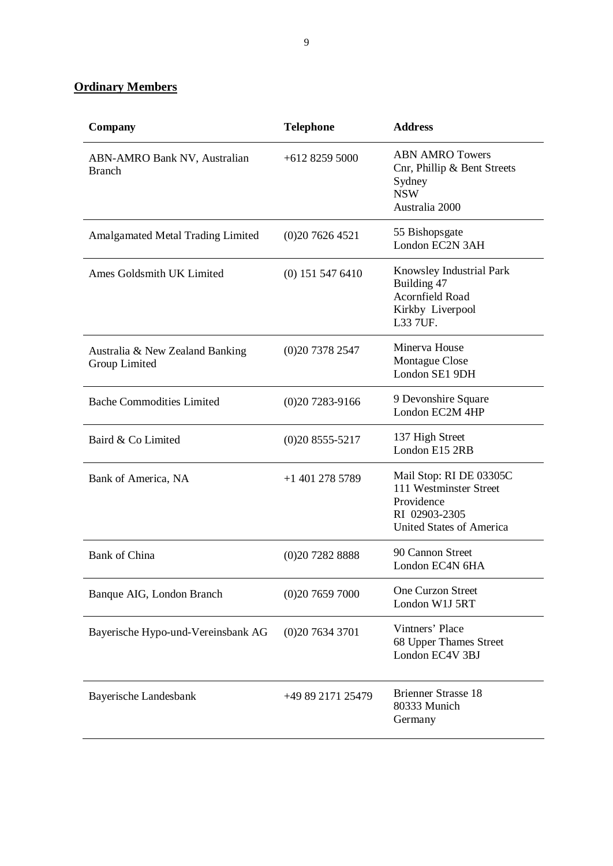**Ordinary Members** 

| Company                                          | <b>Telephone</b>   | <b>Address</b>                                                                                                      |
|--------------------------------------------------|--------------------|---------------------------------------------------------------------------------------------------------------------|
| ABN-AMRO Bank NV, Australian<br><b>Branch</b>    | $+61282595000$     | <b>ABN AMRO Towers</b><br>Cnr, Phillip & Bent Streets<br>Sydney<br><b>NSW</b><br>Australia 2000                     |
| <b>Amalgamated Metal Trading Limited</b>         | (0)2076264521      | 55 Bishopsgate<br>London EC2N 3AH                                                                                   |
| Ames Goldsmith UK Limited                        | $(0)$ 151 547 6410 | Knowsley Industrial Park<br>Building 47<br>Acornfield Road<br>Kirkby Liverpool<br>L33 7UF.                          |
| Australia & New Zealand Banking<br>Group Limited | (0)2073782547      | Minerva House<br>Montague Close<br>London SE1 9DH                                                                   |
| <b>Bache Commodities Limited</b>                 | $(0)207283-9166$   | 9 Devonshire Square<br>London EC2M 4HP                                                                              |
| Baird & Co Limited                               | $(0)208555-5217$   | 137 High Street<br>London E15 2RB                                                                                   |
| Bank of America, NA                              | $+1$ 401 278 5789  | Mail Stop: RI DE 03305C<br>111 Westminster Street<br>Providence<br>RI 02903-2305<br><b>United States of America</b> |
| <b>Bank of China</b>                             | (0)2072828888      | 90 Cannon Street<br>London EC4N 6HA                                                                                 |
| Banque AIG, London Branch                        | (0)2076597000      | One Curzon Street<br>London W1J 5RT                                                                                 |
| Bayerische Hypo-und-Vereinsbank AG               | (0)2076343701      | Vintners' Place<br>68 Upper Thames Street<br>London EC4V 3BJ                                                        |
| Bayerische Landesbank                            | +49 89 2171 25479  | <b>Brienner Strasse 18</b><br>80333 Munich<br>Germany                                                               |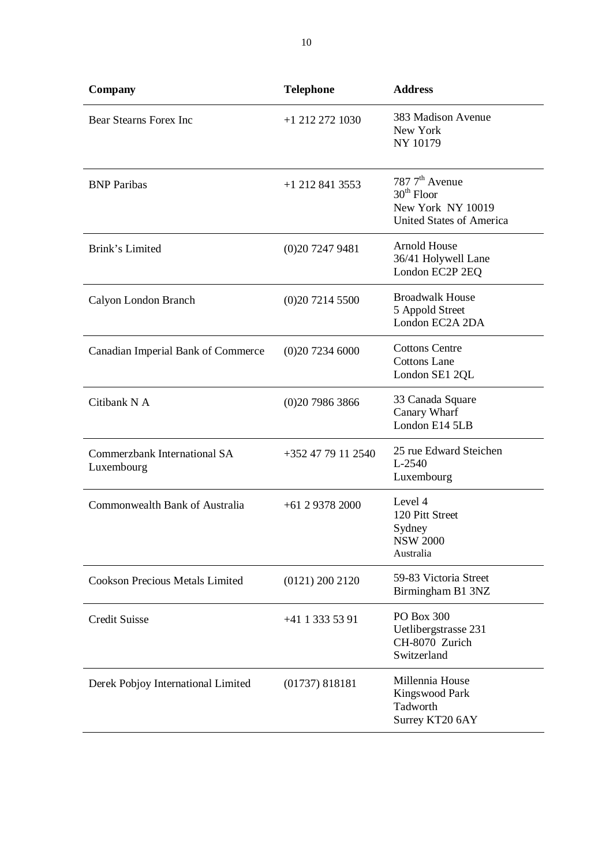| <b>Company</b>                             | <b>Telephone</b>   | <b>Address</b>                                                                                     |
|--------------------------------------------|--------------------|----------------------------------------------------------------------------------------------------|
| <b>Bear Stearns Forex Inc</b>              | +1 212 272 1030    | 383 Madison Avenue<br>New York<br>NY 10179                                                         |
| <b>BNP</b> Paribas                         | $+1$ 212 841 3553  | 787 7 <sup>th</sup> Avenue<br>$30th$ Floor<br>New York NY 10019<br><b>United States of America</b> |
| Brink's Limited                            | (0)2072479481      | <b>Arnold House</b><br>36/41 Holywell Lane<br>London EC2P 2EQ                                      |
| Calyon London Branch                       | (0)2072145500      | <b>Broadwalk House</b><br>5 Appold Street<br>London EC2A 2DA                                       |
| Canadian Imperial Bank of Commerce         | (0)2072346000      | <b>Cottons Centre</b><br><b>Cottons Lane</b><br>London SE1 2QL                                     |
| Citibank N A                               | (0)2079863866      | 33 Canada Square<br>Canary Wharf<br>London E14 5LB                                                 |
| Commerzbank International SA<br>Luxembourg | +352 47 79 11 2540 | 25 rue Edward Steichen<br>L-2540<br>Luxembourg                                                     |
| Commonwealth Bank of Australia             | $+61$ 2 9378 2000  | Level 4<br>120 Pitt Street<br>Sydney<br><b>NSW 2000</b><br>Australia                               |
| <b>Cookson Precious Metals Limited</b>     | $(0121)$ 200 2120  | 59-83 Victoria Street<br>Birmingham B1 3NZ                                                         |
| <b>Credit Suisse</b>                       | +41 1 333 53 91    | PO Box 300<br>Uetlibergstrasse 231<br>CH-8070 Zurich<br>Switzerland                                |
| Derek Pobjoy International Limited         | (01737) 818181     | Millennia House<br>Kingswood Park<br>Tadworth<br>Surrey KT20 6AY                                   |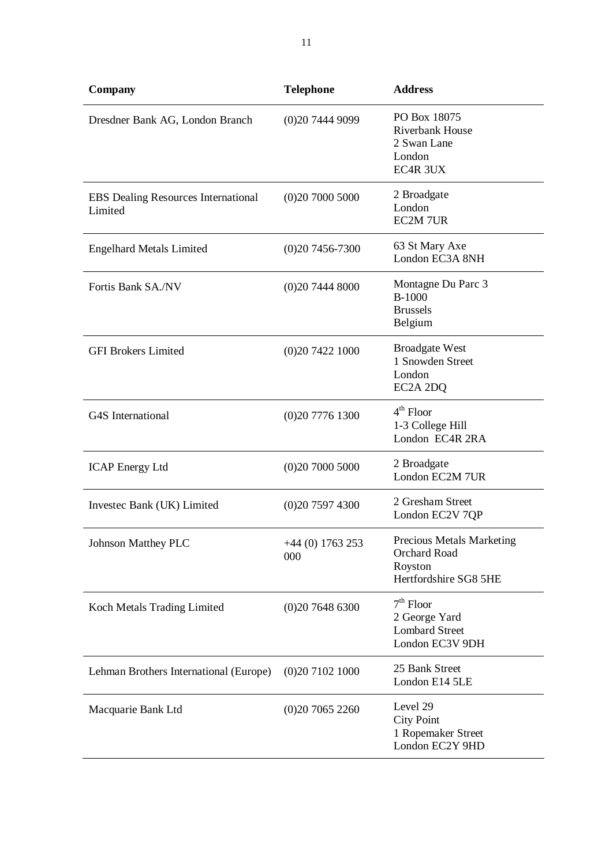| Company                                               | <b>Telephone</b>        | <b>Address</b>                                                                       |
|-------------------------------------------------------|-------------------------|--------------------------------------------------------------------------------------|
| Dresdner Bank AG, London Branch                       | (0)2074449099           | PO Box 18075<br><b>Riverbank House</b><br>2 Swan Lane<br>London<br>EC4R 3UX          |
| <b>EBS</b> Dealing Resources International<br>Limited | (0)2070005000           | 2 Broadgate<br>London<br><b>EC2M 7UR</b>                                             |
| <b>Engelhard Metals Limited</b>                       | $(0)207456-7300$        | 63 St Mary Axe<br>London EC3A 8NH                                                    |
| Fortis Bank SA./NV                                    | (0)2074448000           | Montagne Du Parc 3<br><b>B-1000</b><br><b>Brussels</b><br>Belgium                    |
| <b>GFI Brokers Limited</b>                            | (0)2074221000           | <b>Broadgate West</b><br>1 Snowden Street<br>London<br>EC2A 2DQ                      |
| G4S International                                     | (0)2077761300           | $4th$ Floor<br>1-3 College Hill<br>London EC4R 2RA                                   |
| <b>ICAP Energy Ltd</b>                                | (0)2070005000           | 2 Broadgate<br>London EC2M 7UR                                                       |
| Investec Bank (UK) Limited                            | (0)2075974300           | 2 Gresham Street<br>London EC2V 7QP                                                  |
| <b>Johnson Matthey PLC</b>                            | +44 (0) 1763 253<br>000 | <b>Precious Metals Marketing</b><br>Orchard Road<br>Royston<br>Hertfordshire SG8 5HE |
| Koch Metals Trading Limited                           | (0)2076486300           | $7th$ Floor<br>2 George Yard<br><b>Lombard Street</b><br>London EC3V 9DH             |
| Lehman Brothers International (Europe)                | (0)2071021000           | 25 Bank Street<br>London E14 5LE                                                     |
| Macquarie Bank Ltd                                    | (0)2070652260           | Level 29<br><b>City Point</b><br>1 Ropemaker Street<br>London EC2Y 9HD               |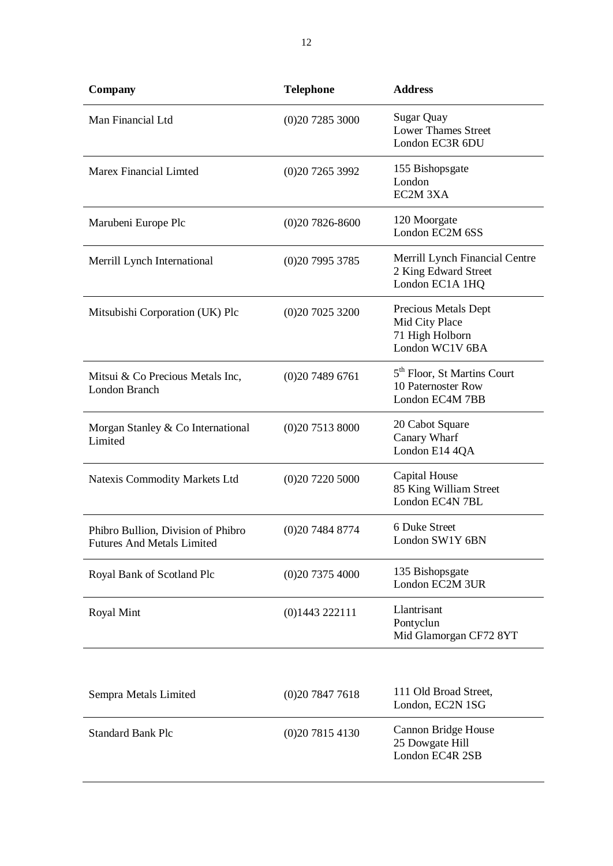| Company                                                                 | <b>Telephone</b>   | <b>Address</b>                                                                   |
|-------------------------------------------------------------------------|--------------------|----------------------------------------------------------------------------------|
| Man Financial Ltd                                                       | (0)2072853000      | <b>Sugar Quay</b><br><b>Lower Thames Street</b><br>London EC3R 6DU               |
| <b>Marex Financial Limted</b>                                           | (0)2072653992      | 155 Bishopsgate<br>London<br>EC2M 3XA                                            |
| Marubeni Europe Plc                                                     | $(0)207826 - 8600$ | 120 Moorgate<br>London EC2M 6SS                                                  |
| Merrill Lynch International                                             | (0)2079953785      | Merrill Lynch Financial Centre<br>2 King Edward Street<br>London EC1A 1HQ        |
| Mitsubishi Corporation (UK) Plc                                         | (0)2070253200      | Precious Metals Dept<br>Mid City Place<br>71 High Holborn<br>London WC1V 6BA     |
| Mitsui & Co Precious Metals Inc,<br>London Branch                       | (0)2074896761      | 5 <sup>th</sup> Floor, St Martins Court<br>10 Paternoster Row<br>London EC4M 7BB |
| Morgan Stanley & Co International<br>Limited                            | (0)2075138000      | 20 Cabot Square<br>Canary Wharf<br>London E14 4QA                                |
| Natexis Commodity Markets Ltd                                           | (0)2072205000      | Capital House<br>85 King William Street<br>London EC4N 7BL                       |
| Phibro Bullion, Division of Phibro<br><b>Futures And Metals Limited</b> | (0)2074848774      | 6 Duke Street<br>London SW1Y 6BN                                                 |
| Royal Bank of Scotland Plc                                              | (0)2073754000      | 135 Bishopsgate<br>London EC2M 3UR                                               |
| Royal Mint                                                              | $(0)$ 1443 222111  | Llantrisant<br>Pontyclun<br>Mid Glamorgan CF72 8YT                               |
|                                                                         |                    |                                                                                  |
| Sempra Metals Limited                                                   | (0)2078477618      | 111 Old Broad Street,<br>London, EC2N 1SG                                        |
| <b>Standard Bank Plc</b>                                                | (0)2078154130      | Cannon Bridge House<br>25 Dowgate Hill<br>London EC4R 2SB                        |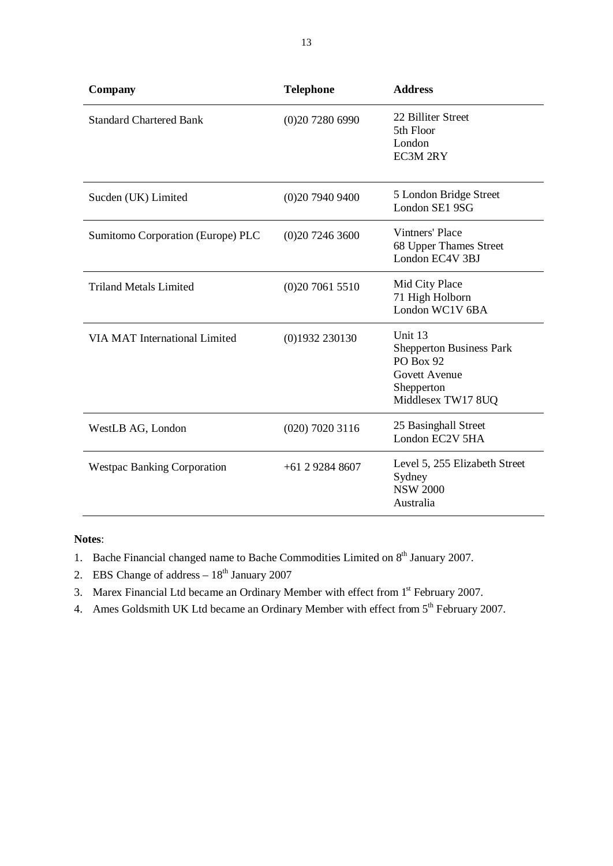| <b>Company</b>                       | <b>Telephone</b>  | <b>Address</b>                                                                                                             |
|--------------------------------------|-------------------|----------------------------------------------------------------------------------------------------------------------------|
| <b>Standard Chartered Bank</b>       | (0)2072806990     | 22 Billiter Street<br>5th Floor<br>London<br><b>EC3M 2RY</b>                                                               |
| Sucden (UK) Limited                  | (0)2079409400     | 5 London Bridge Street<br>London SE1 9SG                                                                                   |
| Sumitomo Corporation (Europe) PLC    | (0)2072463600     | Vintners' Place<br>68 Upper Thames Street<br>London EC4V 3BJ                                                               |
| <b>Triland Metals Limited</b>        | (0)2070615510     | Mid City Place<br>71 High Holborn<br>London WC1V 6BA                                                                       |
| <b>VIA MAT International Limited</b> | $(0)$ 1932 230130 | Unit 13<br><b>Shepperton Business Park</b><br><b>PO Box 92</b><br><b>Govett Avenue</b><br>Shepperton<br>Middlesex TW17 8UQ |
| WestLB AG, London                    | $(020)$ 7020 3116 | 25 Basinghall Street<br>London EC2V 5HA                                                                                    |
| <b>Westpac Banking Corporation</b>   | $+61$ 2 9284 8607 | Level 5, 255 Elizabeth Street<br>Sydney<br><b>NSW 2000</b><br>Australia                                                    |

#### **Notes**:

- 1. Bache Financial changed name to Bache Commodities Limited on 8<sup>th</sup> January 2007.
- 2. EBS Change of address  $-18^{th}$  January 2007
- 3. Marex Financial Ltd became an Ordinary Member with effect from 1<sup>st</sup> February 2007.
- 4. Ames Goldsmith UK Ltd became an Ordinary Member with effect from  $5<sup>th</sup>$  February 2007.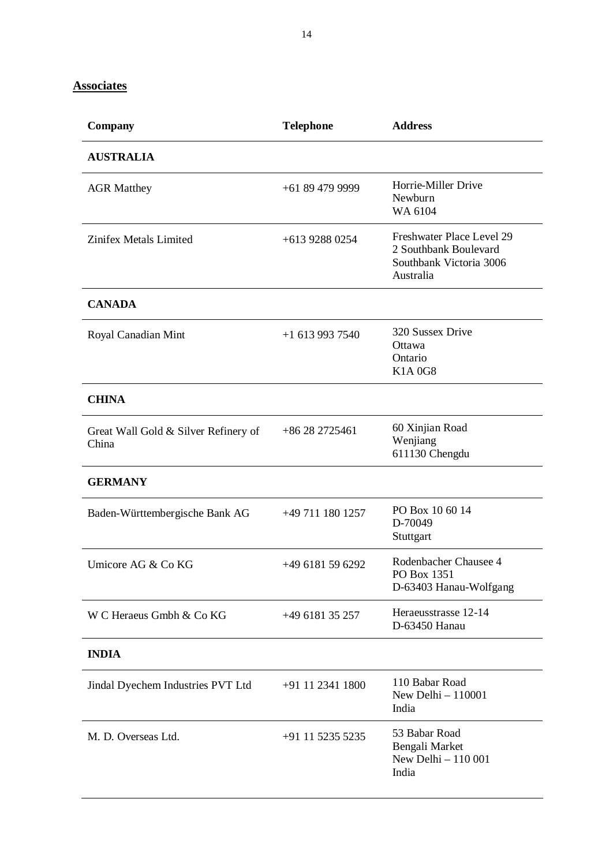**Associates**

| Company                                       | <b>Telephone</b> | <b>Address</b>                                                                             |
|-----------------------------------------------|------------------|--------------------------------------------------------------------------------------------|
| <b>AUSTRALIA</b>                              |                  |                                                                                            |
| <b>AGR Matthey</b>                            | +61 89 479 9999  | Horrie-Miller Drive<br>Newburn<br>WA 6104                                                  |
| Zinifex Metals Limited                        | +613 9288 0254   | Freshwater Place Level 29<br>2 Southbank Boulevard<br>Southbank Victoria 3006<br>Australia |
| <b>CANADA</b>                                 |                  |                                                                                            |
| Royal Canadian Mint                           | $+16139937540$   | 320 Sussex Drive<br>Ottawa<br>Ontario<br><b>K1A0G8</b>                                     |
| <b>CHINA</b>                                  |                  |                                                                                            |
| Great Wall Gold & Silver Refinery of<br>China | +86 28 2725461   | 60 Xinjian Road<br>Wenjiang<br>611130 Chengdu                                              |
| <b>GERMANY</b>                                |                  |                                                                                            |
| Baden-Württembergische Bank AG                | +49 711 180 1257 | PO Box 10 60 14<br>D-70049<br>Stuttgart                                                    |
| Umicore AG & Co KG                            | +49 6181 59 6292 | Rodenbacher Chausee 4<br>PO Box 1351<br>D-63403 Hanau-Wolfgang                             |
| W C Heraeus Gmbh & Co KG                      | +49 6181 35 257  | Heraeusstrasse 12-14<br>D-63450 Hanau                                                      |
| <b>INDIA</b>                                  |                  |                                                                                            |
| Jindal Dyechem Industries PVT Ltd             | +91 11 2341 1800 | 110 Babar Road<br>New Delhi - 110001<br>India                                              |
| M. D. Overseas Ltd.                           | +91 11 5235 5235 | 53 Babar Road<br>Bengali Market<br>New Delhi - 110 001<br>India                            |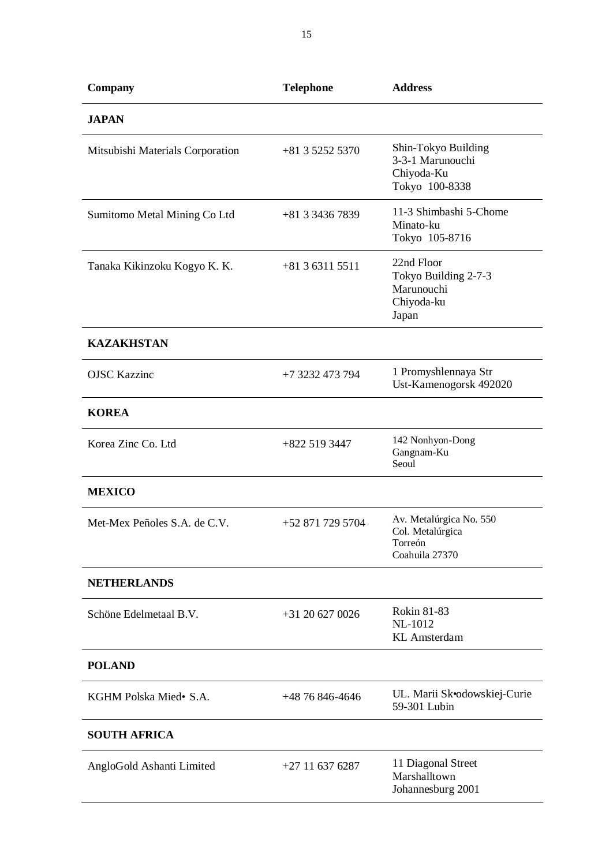| Company                          | <b>Telephone</b>  | <b>Address</b>                                                           |
|----------------------------------|-------------------|--------------------------------------------------------------------------|
| <b>JAPAN</b>                     |                   |                                                                          |
| Mitsubishi Materials Corporation | $+81352525370$    | Shin-Tokyo Building<br>3-3-1 Marunouchi<br>Chiyoda-Ku<br>Tokyo 100-8338  |
| Sumitomo Metal Mining Co Ltd     | +81 3 3436 7839   | 11-3 Shimbashi 5-Chome<br>Minato-ku<br>Tokyo 105-8716                    |
| Tanaka Kikinzoku Kogyo K. K.     | $+81363115511$    | 22nd Floor<br>Tokyo Building 2-7-3<br>Marunouchi<br>Chiyoda-ku<br>Japan  |
| <b>KAZAKHSTAN</b>                |                   |                                                                          |
| <b>OJSC Kazzinc</b>              | +7 3232 473 794   | 1 Promyshlennaya Str<br>Ust-Kamenogorsk 492020                           |
| <b>KOREA</b>                     |                   |                                                                          |
| Korea Zinc Co. Ltd               | $+8225193447$     | 142 Nonhyon-Dong<br>Gangnam-Ku<br>Seoul                                  |
| <b>MEXICO</b>                    |                   |                                                                          |
| Met-Mex Peñoles S.A. de C.V.     | +52 871 729 5704  | Av. Metalúrgica No. 550<br>Col. Metalúrgica<br>Torreón<br>Coahuila 27370 |
| <b>NETHERLANDS</b>               |                   |                                                                          |
| Schöne Edelmetaal B.V.           | $+31$ 20 627 0026 | <b>Rokin 81-83</b><br>NL-1012<br><b>KL</b> Amsterdam                     |
| <b>POLAND</b>                    |                   |                                                                          |
| KGHM Polska Mied• S.A.           | +48 76 846-4646   | UL. Marii Skodowskiej-Curie<br>59-301 Lubin                              |
| <b>SOUTH AFRICA</b>              |                   |                                                                          |
| AngloGold Ashanti Limited        | $+27$ 11 637 6287 | 11 Diagonal Street<br>Marshalltown<br>Johannesburg 2001                  |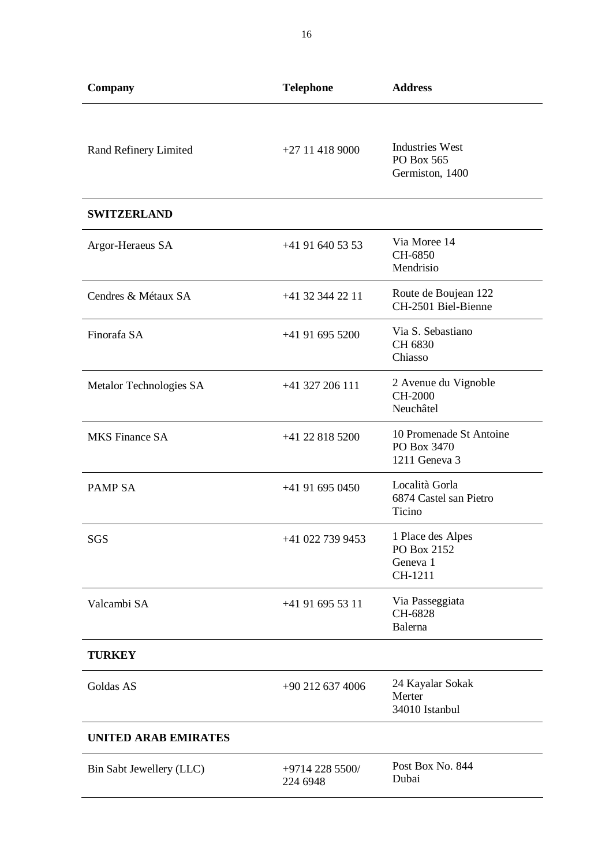| Company                  | <b>Telephone</b>            | <b>Address</b>                                          |
|--------------------------|-----------------------------|---------------------------------------------------------|
| Rand Refinery Limited    | $+27$ 11 418 9000           | <b>Industries West</b><br>PO Box 565<br>Germiston, 1400 |
| <b>SWITZERLAND</b>       |                             |                                                         |
| Argor-Heraeus SA         | $+41916405353$              | Via Moree 14<br>CH-6850<br>Mendrisio                    |
| Cendres & Métaux SA      | +41 32 344 22 11            | Route de Boujean 122<br>CH-2501 Biel-Bienne             |
| Finorafa SA              | +41 91 695 5200             | Via S. Sebastiano<br>CH 6830<br>Chiasso                 |
| Metalor Technologies SA  | +41 327 206 111             | 2 Avenue du Vignoble<br><b>CH-2000</b><br>Neuchâtel     |
| <b>MKS</b> Finance SA    | +41 22 818 5200             | 10 Promenade St Antoine<br>PO Box 3470<br>1211 Geneva 3 |
| PAMP <sub>SA</sub>       | +41 91 695 0450             | Località Gorla<br>6874 Castel san Pietro<br>Ticino      |
| SGS                      | +41 022 739 9453            | 1 Place des Alpes<br>PO Box 2152<br>Geneva 1<br>CH-1211 |
| Valcambi SA              | +41 91 695 53 11            | Via Passeggiata<br>CH-6828<br>Balerna                   |
| <b>TURKEY</b>            |                             |                                                         |
| Goldas AS                | +90 212 637 4006            | 24 Kayalar Sokak<br>Merter<br>34010 Istanbul            |
| UNITED ARAB EMIRATES     |                             |                                                         |
| Bin Sabt Jewellery (LLC) | +9714 228 5500/<br>224 6948 | Post Box No. 844<br>Dubai                               |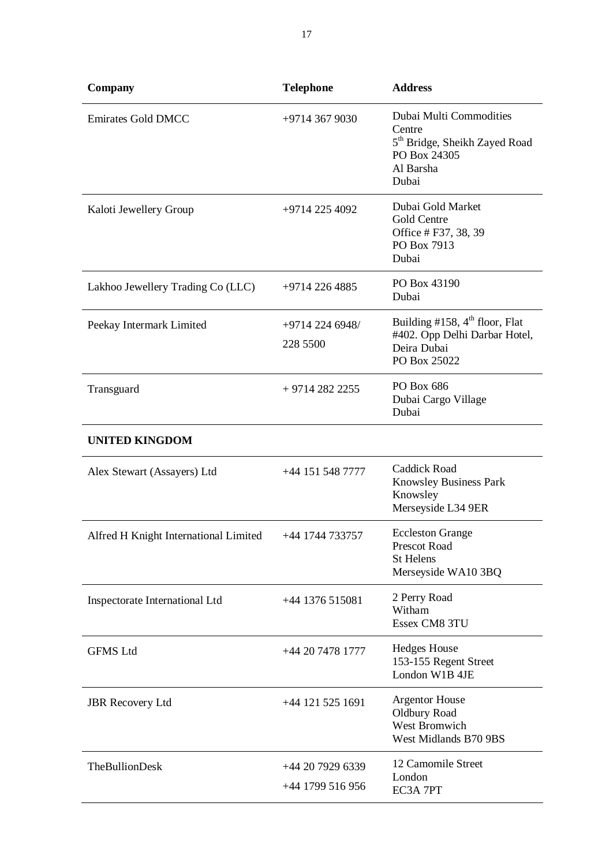| Company                               | <b>Telephone</b>                     | <b>Address</b>                                                                                                       |
|---------------------------------------|--------------------------------------|----------------------------------------------------------------------------------------------------------------------|
| <b>Emirates Gold DMCC</b>             | +9714 367 9030                       | Dubai Multi Commodities<br>Centre<br>5 <sup>th</sup> Bridge, Sheikh Zayed Road<br>PO Box 24305<br>Al Barsha<br>Dubai |
| Kaloti Jewellery Group                | +9714 225 4092                       | Dubai Gold Market<br>Gold Centre<br>Office # F37, 38, 39<br>PO Box 7913<br>Dubai                                     |
| Lakhoo Jewellery Trading Co (LLC)     | +9714 226 4885                       | PO Box 43190<br>Dubai                                                                                                |
| Peekay Intermark Limited              | +9714 224 6948/<br>228 5500          | Building #158, $4th$ floor, Flat<br>#402. Opp Delhi Darbar Hotel,<br>Deira Dubai<br>PO Box 25022                     |
| Transguard                            | $+97142822255$                       | PO Box 686<br>Dubai Cargo Village<br>Dubai                                                                           |
| <b>UNITED KINGDOM</b>                 |                                      |                                                                                                                      |
| Alex Stewart (Assayers) Ltd           | +44 151 548 7777                     | <b>Caddick Road</b><br>Knowsley Business Park<br>Knowsley<br>Merseyside L34 9ER                                      |
| Alfred H Knight International Limited | +44 1744 733757                      | <b>Eccleston Grange</b><br><b>Prescot Road</b><br><b>St Helens</b><br>Merseyside WA10 3BQ                            |
| Inspectorate International Ltd        | +44 1376 515081                      | 2 Perry Road<br>Witham<br>Essex CM8 3TU                                                                              |
| <b>GFMS Ltd</b>                       | +44 20 7478 1777                     | <b>Hedges House</b><br>153-155 Regent Street<br>London W1B 4JE                                                       |
| <b>JBR</b> Recovery Ltd               | +44 121 525 1691                     | <b>Argentor House</b><br>Oldbury Road<br>West Bromwich<br>West Midlands B70 9BS                                      |
| <b>TheBullionDesk</b>                 | +44 20 7929 6339<br>+44 1799 516 956 | 12 Camomile Street<br>London<br>EC3A 7PT                                                                             |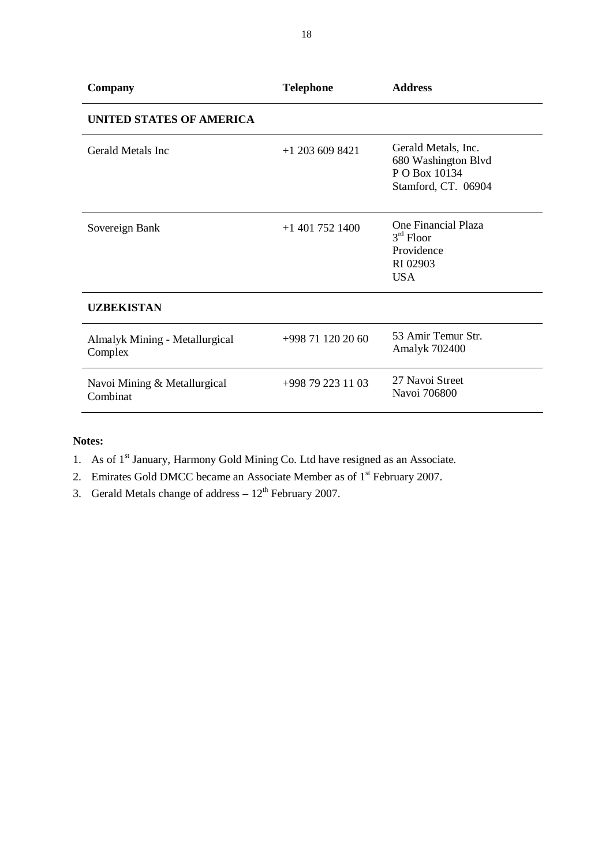| Company                                   | <b>Telephone</b>    | <b>Address</b>                                                                     |
|-------------------------------------------|---------------------|------------------------------------------------------------------------------------|
| <b>UNITED STATES OF AMERICA</b>           |                     |                                                                                    |
| Gerald Metals Inc.                        | $+1$ 203 609 8421   | Gerald Metals, Inc.<br>680 Washington Blvd<br>P O Box 10134<br>Stamford, CT. 06904 |
| Sovereign Bank                            | $+1$ 401 752 1400   | One Financial Plaza<br>$3rd$ Floor<br>Providence<br>RI 02903<br><b>USA</b>         |
| <b>UZBEKISTAN</b>                         |                     |                                                                                    |
| Almalyk Mining - Metallurgical<br>Complex | +998 71 120 20 60   | 53 Amir Temur Str.<br>Amalyk 702400                                                |
| Navoi Mining & Metallurgical<br>Combinat  | $+998$ 79 223 11 03 | 27 Navoi Street<br>Navoi 706800                                                    |

#### **Notes:**

- 1. As of  $1<sup>st</sup>$  January, Harmony Gold Mining Co. Ltd have resigned as an Associate.
- 2. Emirates Gold DMCC became an Associate Member as of 1<sup>st</sup> February 2007.
- 3. Gerald Metals change of address  $-12^{th}$  February 2007.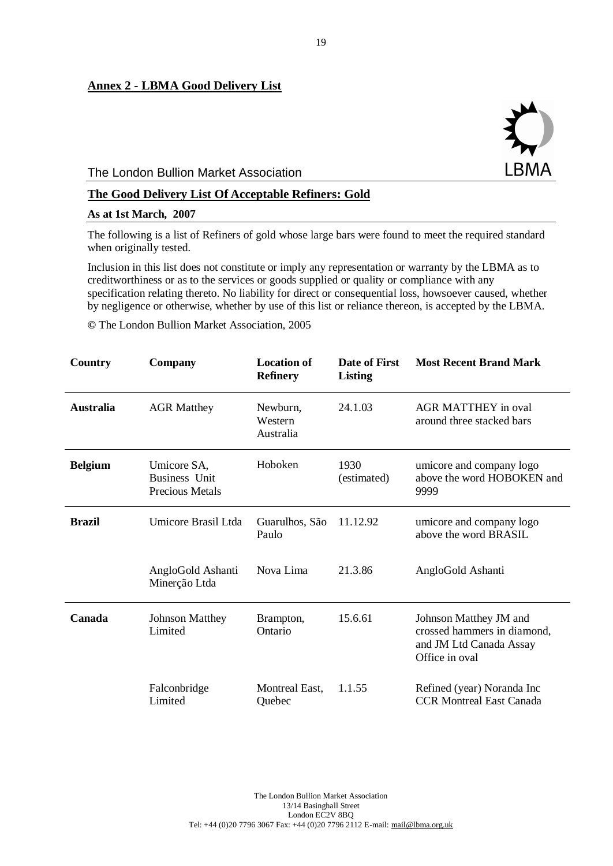#### **Annex 2 - LBMA Good Delivery List**

#### The London Bullion Market Association

#### **The Good Delivery List Of Acceptable Refiners: Gold**

#### **As at 1st March, 2007**

The following is a list of Refiners of gold whose large bars were found to meet the required standard when originally tested.

Inclusion in this list does not constitute or imply any representation or warranty by the LBMA as to creditworthiness or as to the services or goods supplied or quality or compliance with any specification relating thereto. No liability for direct or consequential loss, howsoever caused, whether by negligence or otherwise, whether by use of this list or reliance thereon, is accepted by the LBMA.

**©** The London Bullion Market Association, 2005

| Country          | Company                                                       | <b>Location of</b><br><b>Refinery</b> | Date of First<br><b>Listing</b> | <b>Most Recent Brand Mark</b>                                                                      |
|------------------|---------------------------------------------------------------|---------------------------------------|---------------------------------|----------------------------------------------------------------------------------------------------|
| <b>Australia</b> | <b>AGR Matthey</b>                                            | Newburn,<br>Western<br>Australia      | 24.1.03                         | <b>AGR MATTHEY</b> in oval<br>around three stacked bars                                            |
| <b>Belgium</b>   | Umicore SA,<br><b>Business</b> Unit<br><b>Precious Metals</b> | Hoboken                               | 1930<br>(estimated)             | umicore and company logo<br>above the word HOBOKEN and<br>9999                                     |
| <b>Brazil</b>    | Umicore Brasil Ltda                                           | Guarulhos, São<br>Paulo               | 11.12.92                        | umicore and company logo<br>above the word BRASIL                                                  |
|                  | AngloGold Ashanti<br>Minerção Ltda                            | Nova Lima                             | 21.3.86                         | AngloGold Ashanti                                                                                  |
| Canada           | <b>Johnson Matthey</b><br>Limited                             | Brampton,<br>Ontario                  | 15.6.61                         | Johnson Matthey JM and<br>crossed hammers in diamond,<br>and JM Ltd Canada Assay<br>Office in oval |
|                  | Falconbridge<br>Limited                                       | Montreal East,<br>Quebec              | 1.1.55                          | Refined (year) Noranda Inc<br><b>CCR Montreal East Canada</b>                                      |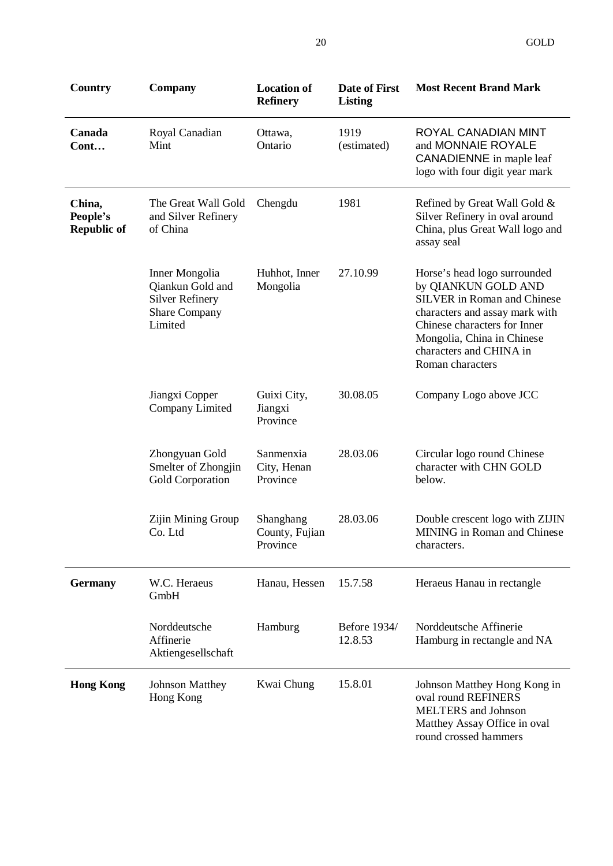| <b>Country</b>                           | Company                                                                                         | <b>Location of</b><br><b>Refinery</b>   | <b>Date of First</b><br>Listing | <b>Most Recent Brand Mark</b>                                                                                                                                                                                                            |
|------------------------------------------|-------------------------------------------------------------------------------------------------|-----------------------------------------|---------------------------------|------------------------------------------------------------------------------------------------------------------------------------------------------------------------------------------------------------------------------------------|
| Canada<br>Cont                           | Royal Canadian<br>Mint                                                                          | Ottawa,<br>Ontario                      | 1919<br>(estimated)             | ROYAL CANADIAN MINT<br>and MONNAIE ROYALE<br><b>CANADIENNE</b> in maple leaf<br>logo with four digit year mark                                                                                                                           |
| China,<br>People's<br><b>Republic of</b> | The Great Wall Gold<br>and Silver Refinery<br>of China                                          | Chengdu                                 | 1981                            | Refined by Great Wall Gold &<br>Silver Refinery in oval around<br>China, plus Great Wall logo and<br>assay seal                                                                                                                          |
|                                          | Inner Mongolia<br>Qiankun Gold and<br><b>Silver Refinery</b><br><b>Share Company</b><br>Limited | Huhhot, Inner<br>Mongolia               | 27.10.99                        | Horse's head logo surrounded<br>by QIANKUN GOLD AND<br><b>SILVER</b> in Roman and Chinese<br>characters and assay mark with<br>Chinese characters for Inner<br>Mongolia, China in Chinese<br>characters and CHINA in<br>Roman characters |
|                                          | Jiangxi Copper<br>Company Limited                                                               | Guixi City,<br>Jiangxi<br>Province      | 30.08.05                        | Company Logo above JCC                                                                                                                                                                                                                   |
|                                          | Zhongyuan Gold<br>Smelter of Zhongjin<br>Gold Corporation                                       | Sanmenxia<br>City, Henan<br>Province    | 28.03.06                        | Circular logo round Chinese<br>character with CHN GOLD<br>below.                                                                                                                                                                         |
|                                          | Zijin Mining Group<br>Co. Ltd                                                                   | Shanghang<br>County, Fujian<br>Province | 28.03.06                        | Double crescent logo with ZIJIN<br><b>MINING</b> in Roman and Chinese<br>characters.                                                                                                                                                     |
| <b>Germany</b>                           | W.C. Heraeus<br>GmbH                                                                            | Hanau, Hessen                           | 15.7.58                         | Heraeus Hanau in rectangle                                                                                                                                                                                                               |
|                                          | Norddeutsche<br>Affinerie<br>Aktiengesellschaft                                                 | Hamburg                                 | <b>Before 1934/</b><br>12.8.53  | Norddeutsche Affinerie<br>Hamburg in rectangle and NA                                                                                                                                                                                    |
| <b>Hong Kong</b>                         | <b>Johnson Matthey</b><br>Hong Kong                                                             | Kwai Chung                              | 15.8.01                         | Johnson Matthey Hong Kong in<br>oval round REFINERS<br><b>MELTERS</b> and Johnson<br>Matthey Assay Office in oval<br>round crossed hammers                                                                                               |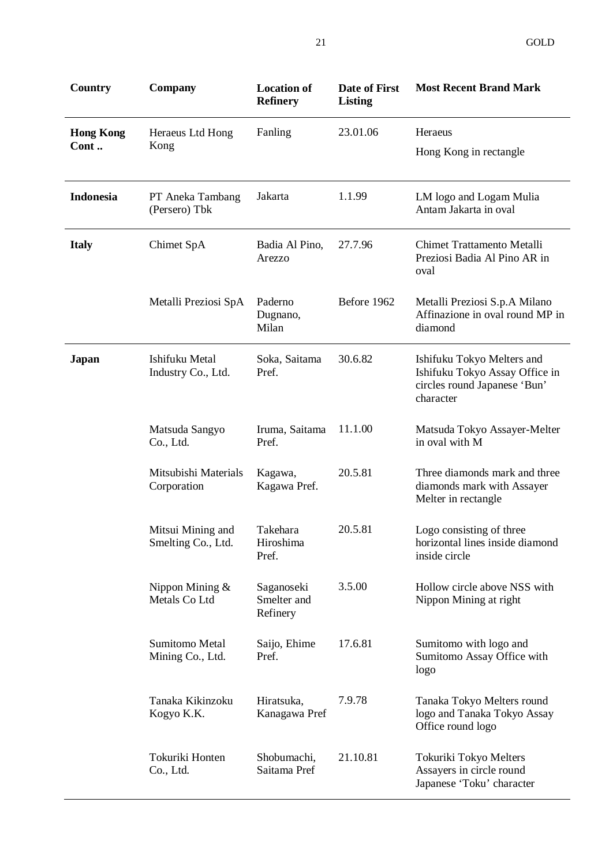| Country                  | <b>Company</b>                          | <b>Location of</b><br><b>Refinery</b> | <b>Date of First</b><br><b>Listing</b> | <b>Most Recent Brand Mark</b>                                                                             |
|--------------------------|-----------------------------------------|---------------------------------------|----------------------------------------|-----------------------------------------------------------------------------------------------------------|
| <b>Hong Kong</b><br>Cont | Heraeus Ltd Hong<br>Kong                | Fanling                               | 23.01.06                               | Heraeus<br>Hong Kong in rectangle                                                                         |
| Indonesia                | PT Aneka Tambang<br>(Persero) Tbk       | Jakarta                               | 1.1.99                                 | LM logo and Logam Mulia<br>Antam Jakarta in oval                                                          |
| <b>Italy</b>             | Chimet SpA                              | Badia Al Pino,<br>Arezzo              | 27.7.96                                | <b>Chimet Trattamento Metalli</b><br>Preziosi Badia Al Pino AR in<br>oval                                 |
|                          | Metalli Preziosi SpA                    | Paderno<br>Dugnano,<br>Milan          | Before 1962                            | Metalli Preziosi S.p.A Milano<br>Affinazione in oval round MP in<br>diamond                               |
| Japan                    | Ishifuku Metal<br>Industry Co., Ltd.    | Soka, Saitama<br>Pref.                | 30.6.82                                | Ishifuku Tokyo Melters and<br>Ishifuku Tokyo Assay Office in<br>circles round Japanese 'Bun'<br>character |
|                          | Matsuda Sangyo<br>Co., Ltd.             | Iruma, Saitama<br>Pref.               | 11.1.00                                | Matsuda Tokyo Assayer-Melter<br>in oval with M                                                            |
|                          | Mitsubishi Materials<br>Corporation     | Kagawa,<br>Kagawa Pref.               | 20.5.81                                | Three diamonds mark and three<br>diamonds mark with Assayer<br>Melter in rectangle                        |
|                          | Mitsui Mining and<br>Smelting Co., Ltd. | Takehara<br>Hiroshima<br>Pref.        | 20.5.81                                | Logo consisting of three<br>horizontal lines inside diamond<br>inside circle                              |
|                          | Nippon Mining $&$<br>Metals Co Ltd      | Saganoseki<br>Smelter and<br>Refinery | 3.5.00                                 | Hollow circle above NSS with<br>Nippon Mining at right                                                    |
|                          | Sumitomo Metal<br>Mining Co., Ltd.      | Saijo, Ehime<br>Pref.                 | 17.6.81                                | Sumitomo with logo and<br>Sumitomo Assay Office with<br>logo                                              |
|                          | Tanaka Kikinzoku<br>Kogyo K.K.          | Hiratsuka,<br>Kanagawa Pref           | 7.9.78                                 | Tanaka Tokyo Melters round<br>logo and Tanaka Tokyo Assay<br>Office round logo                            |
|                          | Tokuriki Honten<br>Co., Ltd.            | Shobumachi,<br>Saitama Pref           | 21.10.81                               | Tokuriki Tokyo Melters<br>Assayers in circle round<br>Japanese 'Toku' character                           |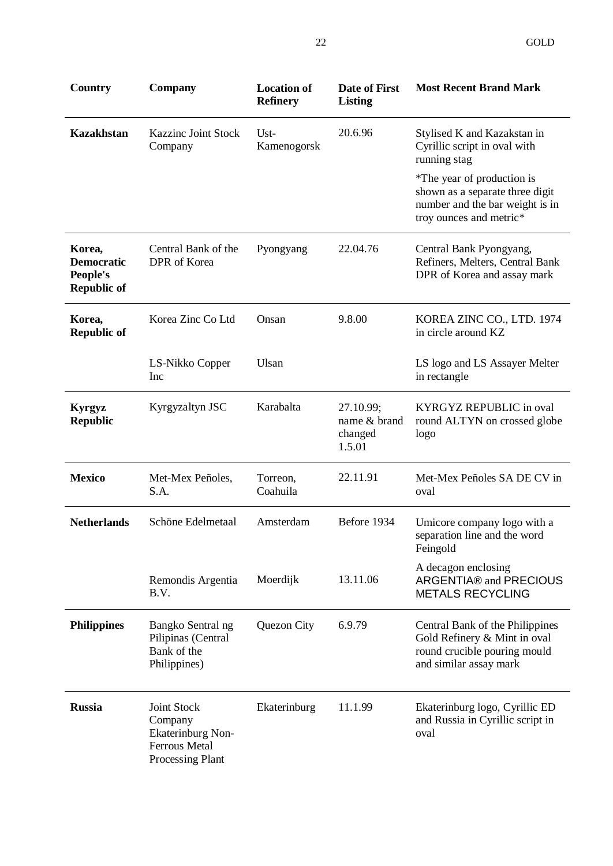| Country                                                       | <b>Company</b>                                                                                 | <b>Location of</b><br><b>Refinery</b> | Date of First<br><b>Listing</b>                | <b>Most Recent Brand Mark</b>                                                                                               |
|---------------------------------------------------------------|------------------------------------------------------------------------------------------------|---------------------------------------|------------------------------------------------|-----------------------------------------------------------------------------------------------------------------------------|
| <b>Kazakhstan</b>                                             | <b>Kazzinc Joint Stock</b><br>Company                                                          | $Ust-$<br>Kamenogorsk                 | 20.6.96                                        | Stylised K and Kazakstan in<br>Cyrillic script in oval with<br>running stag                                                 |
|                                                               |                                                                                                |                                       |                                                | *The year of production is<br>shown as a separate three digit<br>number and the bar weight is in<br>troy ounces and metric* |
| Korea,<br><b>Democratic</b><br>People's<br><b>Republic of</b> | Central Bank of the<br>DPR of Korea                                                            | Pyongyang                             | 22.04.76                                       | Central Bank Pyongyang,<br>Refiners, Melters, Central Bank<br>DPR of Korea and assay mark                                   |
| Korea,<br><b>Republic of</b>                                  | Korea Zinc Co Ltd                                                                              | Onsan                                 | 9.8.00                                         | KOREA ZINC CO., LTD. 1974<br>in circle around KZ                                                                            |
|                                                               | LS-Nikko Copper<br>Inc                                                                         | Ulsan                                 |                                                | LS logo and LS Assayer Melter<br>in rectangle                                                                               |
| <b>Kyrgyz</b><br><b>Republic</b>                              | Kyrgyzaltyn JSC                                                                                | Karabalta                             | 27.10.99;<br>name & brand<br>changed<br>1.5.01 | <b>KYRGYZ REPUBLIC</b> in oval<br>round ALTYN on crossed globe<br>logo                                                      |
| <b>Mexico</b>                                                 | Met-Mex Peñoles,<br>S.A.                                                                       | Torreon,<br>Coahuila                  | 22.11.91                                       | Met-Mex Peñoles SA DE CV in<br>oval                                                                                         |
| <b>Netherlands</b>                                            | Schöne Edelmetaal                                                                              | Amsterdam                             | Before 1934                                    | Umicore company logo with a<br>separation line and the word<br>Feingold                                                     |
|                                                               | Remondis Argentia<br>B.V.                                                                      | Moerdijk                              | 13.11.06                                       | A decagon enclosing<br>ARGENTIA® and PRECIOUS<br><b>METALS RECYCLING</b>                                                    |
| <b>Philippines</b>                                            | Bangko Sentral ng<br>Pilipinas (Central<br>Bank of the<br>Philippines)                         | Quezon City                           | 6.9.79                                         | Central Bank of the Philippines<br>Gold Refinery & Mint in oval<br>round crucible pouring mould<br>and similar assay mark   |
| <b>Russia</b>                                                 | Joint Stock<br>Company<br><b>Ekaterinburg Non-</b><br><b>Ferrous Metal</b><br>Processing Plant | Ekaterinburg                          | 11.1.99                                        | Ekaterinburg logo, Cyrillic ED<br>and Russia in Cyrillic script in<br>oval                                                  |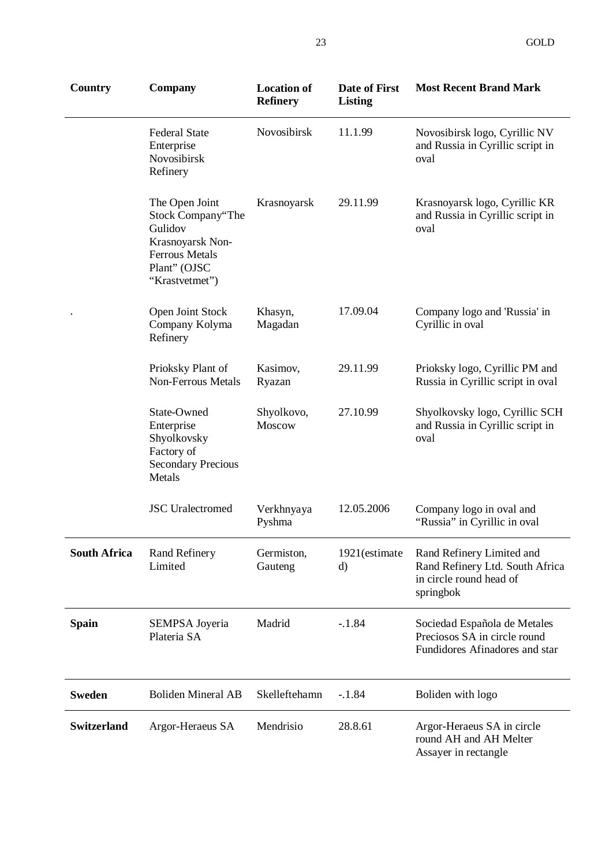| <b>Country</b>      | Company                                                                                                                       | <b>Location of</b><br><b>Refinery</b> | Date of First<br><b>Listing</b> | <b>Most Recent Brand Mark</b>                                                                        |
|---------------------|-------------------------------------------------------------------------------------------------------------------------------|---------------------------------------|---------------------------------|------------------------------------------------------------------------------------------------------|
|                     | <b>Federal State</b><br>Enterprise<br>Novosibirsk<br>Refinery                                                                 | Novosibirsk                           | 11.1.99                         | Novosibirsk logo, Cyrillic NV<br>and Russia in Cyrillic script in<br>oval                            |
|                     | The Open Joint<br>Stock Company"The<br>Gulidov<br>Krasnoyarsk Non-<br><b>Ferrous Metals</b><br>Plant" (OJSC<br>"Krastvetmet") | Krasnoyarsk                           | 29.11.99                        | Krasnoyarsk logo, Cyrillic KR<br>and Russia in Cyrillic script in<br>oval                            |
|                     | Open Joint Stock<br>Company Kolyma<br>Refinery                                                                                | Khasyn,<br>Magadan                    | 17.09.04                        | Company logo and 'Russia' in<br>Cyrillic in oval                                                     |
|                     | Prioksky Plant of<br><b>Non-Ferrous Metals</b>                                                                                | Kasimov,<br>Ryazan                    | 29.11.99                        | Prioksky logo, Cyrillic PM and<br>Russia in Cyrillic script in oval                                  |
|                     | State-Owned<br>Enterprise<br>Shyolkovsky<br>Factory of<br><b>Secondary Precious</b><br>Metals                                 | Shyolkovo,<br>Moscow                  | 27.10.99                        | Shyolkovsky logo, Cyrillic SCH<br>and Russia in Cyrillic script in<br>oval                           |
|                     | <b>JSC</b> Uralectromed                                                                                                       | Verkhnyaya<br>Pyshma                  | 12.05.2006                      | Company logo in oval and<br>"Russia" in Cyrillic in oval                                             |
| <b>South Africa</b> | <b>Rand Refinery</b><br>Limited                                                                                               | Germiston,<br>Gauteng                 | 1921(estimate<br>d)             | Rand Refinery Limited and<br>Rand Refinery Ltd. South Africa<br>in circle round head of<br>springbok |
| <b>Spain</b>        | SEMPSA Joyeria<br>Plateria SA                                                                                                 | Madrid                                | $-.1.84$                        | Sociedad Española de Metales<br>Preciosos SA in circle round<br>Fundidores Afinadores and star       |
| <b>Sweden</b>       | <b>Boliden Mineral AB</b>                                                                                                     | Skelleftehamn                         | $-.1.84$                        | Boliden with logo                                                                                    |
| <b>Switzerland</b>  | Argor-Heraeus SA                                                                                                              | Mendrisio                             | 28.8.61                         | Argor-Heraeus SA in circle<br>round AH and AH Melter<br>Assayer in rectangle                         |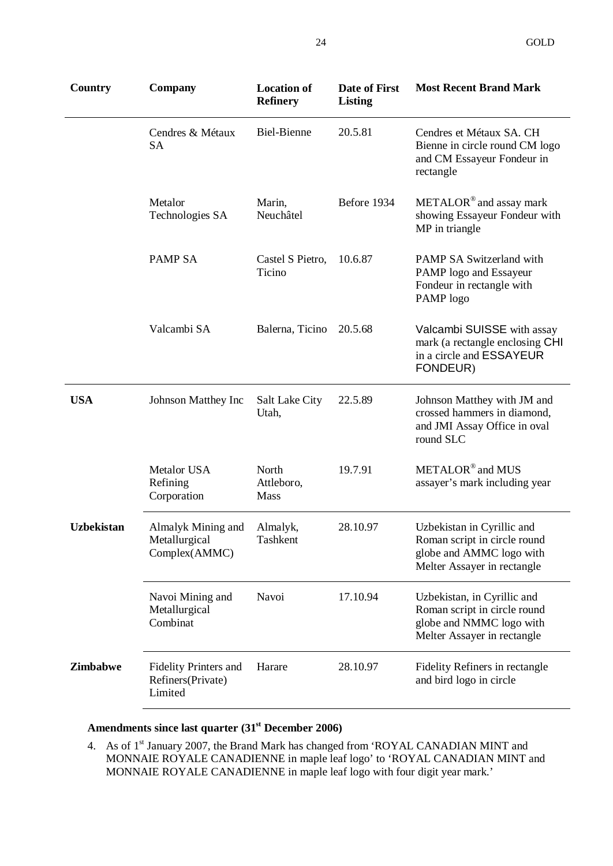| Country           | <b>Company</b>                                               | <b>Location of</b><br><b>Refinery</b> | Date of First<br>Listing | <b>Most Recent Brand Mark</b>                                                                                          |
|-------------------|--------------------------------------------------------------|---------------------------------------|--------------------------|------------------------------------------------------------------------------------------------------------------------|
|                   | Cendres & Métaux<br><b>SA</b>                                | <b>Biel-Bienne</b>                    | 20.5.81                  | Cendres et Métaux SA. CH<br>Bienne in circle round CM logo<br>and CM Essayeur Fondeur in<br>rectangle                  |
|                   | Metalor<br>Technologies SA                                   | Marin,<br>Neuchâtel                   | Before 1934              | METALOR <sup>®</sup> and assay mark<br>showing Essayeur Fondeur with<br>MP in triangle                                 |
|                   | <b>PAMP SA</b>                                               | Castel S Pietro,<br>Ticino            | 10.6.87                  | <b>PAMP SA Switzerland with</b><br>PAMP logo and Essayeur<br>Fondeur in rectangle with<br>PAMP logo                    |
|                   | Valcambi SA                                                  | Balerna, Ticino                       | 20.5.68                  | Valcambi SUISSE with assay<br>mark (a rectangle enclosing CHI<br>in a circle and ESSAYEUR<br>FONDEUR)                  |
| <b>USA</b>        | Johnson Matthey Inc                                          | Salt Lake City<br>Utah,               | 22.5.89                  | Johnson Matthey with JM and<br>crossed hammers in diamond,<br>and JMI Assay Office in oval<br>round SLC                |
|                   | Metalor USA<br>Refining<br>Corporation                       | North<br>Attleboro,<br>Mass           | 19.7.91                  | METALOR <sup>®</sup> and MUS<br>assayer's mark including year                                                          |
| <b>Uzbekistan</b> | Almalyk Mining and<br>Metallurgical<br>Complex(AMMC)         | Almalyk,<br>Tashkent                  | 28.10.97                 | Uzbekistan in Cyrillic and<br>Roman script in circle round<br>globe and AMMC logo with<br>Melter Assayer in rectangle  |
|                   | Navoi Mining and<br>Metallurgical<br>Combinat                | Navoi                                 | 17.10.94                 | Uzbekistan, in Cyrillic and<br>Roman script in circle round<br>globe and NMMC logo with<br>Melter Assayer in rectangle |
| <b>Zimbabwe</b>   | <b>Fidelity Printers and</b><br>Refiners(Private)<br>Limited | Harare                                | 28.10.97                 | Fidelity Refiners in rectangle<br>and bird logo in circle                                                              |

#### **Amendments since last quarter (31st December 2006)**

4. As of 1<sup>st</sup> January 2007, the Brand Mark has changed from 'ROYAL CANADIAN MINT and MONNAIE ROYALE CANADIENNE in maple leaf logo' to 'ROYAL CANADIAN MINT and MONNAIE ROYALE CANADIENNE in maple leaf logo with four digit year mark.'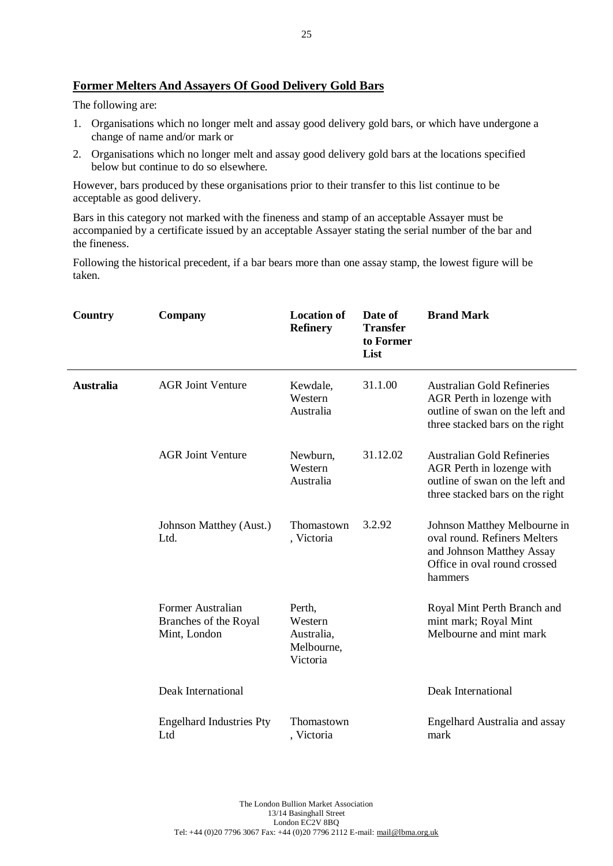#### **Former Melters And Assayers Of Good Delivery Gold Bars**

The following are:

- 1. Organisations which no longer melt and assay good delivery gold bars, or which have undergone a change of name and/or mark or
- 2. Organisations which no longer melt and assay good delivery gold bars at the locations specified below but continue to do so elsewhere.

However, bars produced by these organisations prior to their transfer to this list continue to be acceptable as good delivery.

Bars in this category not marked with the fineness and stamp of an acceptable Assayer must be accompanied by a certificate issued by an acceptable Assayer stating the serial number of the bar and the fineness.

Following the historical precedent, if a bar bears more than one assay stamp, the lowest figure will be taken.

| Country          | Company                                                    | <b>Location of</b><br><b>Refinery</b>                     | Date of<br><b>Transfer</b><br>to Former<br>List | <b>Brand Mark</b>                                                                                                                    |
|------------------|------------------------------------------------------------|-----------------------------------------------------------|-------------------------------------------------|--------------------------------------------------------------------------------------------------------------------------------------|
| <b>Australia</b> | <b>AGR Joint Venture</b>                                   | Kewdale,<br>Western<br>Australia                          | 31.1.00                                         | <b>Australian Gold Refineries</b><br>AGR Perth in lozenge with<br>outline of swan on the left and<br>three stacked bars on the right |
|                  | <b>AGR Joint Venture</b>                                   | Newburn,<br>Western<br>Australia                          | 31.12.02                                        | <b>Australian Gold Refineries</b><br>AGR Perth in lozenge with<br>outline of swan on the left and<br>three stacked bars on the right |
|                  | Johnson Matthey (Aust.)<br>Ltd.                            | Thomastown<br>, Victoria                                  | 3.2.92                                          | Johnson Matthey Melbourne in<br>oval round. Refiners Melters<br>and Johnson Matthey Assay<br>Office in oval round crossed<br>hammers |
|                  | Former Australian<br>Branches of the Royal<br>Mint, London | Perth,<br>Western<br>Australia,<br>Melbourne,<br>Victoria |                                                 | Royal Mint Perth Branch and<br>mint mark; Royal Mint<br>Melbourne and mint mark                                                      |
|                  | Deak International                                         |                                                           |                                                 | Deak International                                                                                                                   |
|                  | <b>Engelhard Industries Pty</b><br>Ltd                     | Thomastown<br>, Victoria                                  |                                                 | Engelhard Australia and assay<br>mark                                                                                                |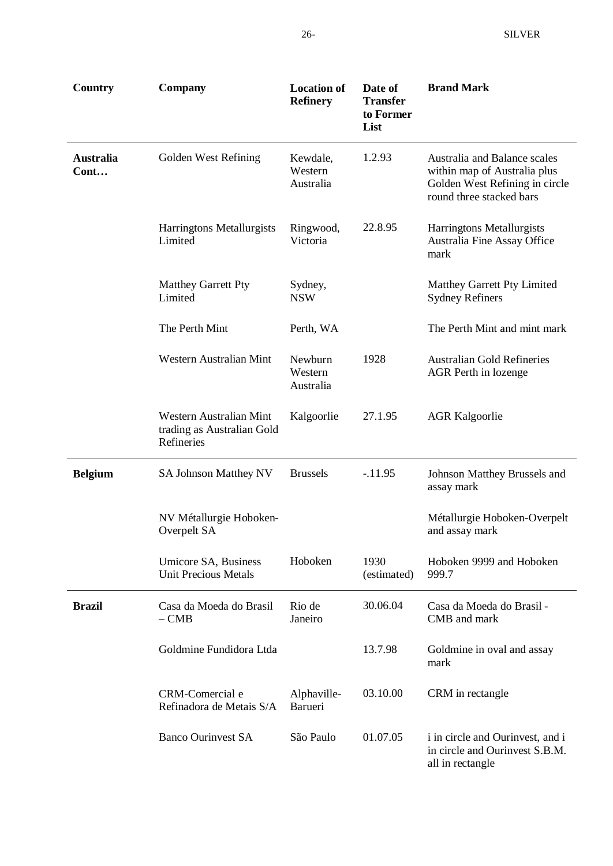| <b>Country</b>           | Company                                                             | <b>Location of</b><br><b>Refinery</b> | Date of<br><b>Transfer</b><br>to Former<br>List | <b>Brand Mark</b>                                                                                                          |
|--------------------------|---------------------------------------------------------------------|---------------------------------------|-------------------------------------------------|----------------------------------------------------------------------------------------------------------------------------|
| <b>Australia</b><br>Cont | Golden West Refining                                                | Kewdale,<br>Western<br>Australia      | 1.2.93                                          | Australia and Balance scales<br>within map of Australia plus<br>Golden West Refining in circle<br>round three stacked bars |
|                          | Harringtons Metallurgists<br>Limited                                | Ringwood,<br>Victoria                 | 22.8.95                                         | Harringtons Metallurgists<br>Australia Fine Assay Office<br>mark                                                           |
|                          | Matthey Garrett Pty<br>Limited                                      | Sydney,<br><b>NSW</b>                 |                                                 | Matthey Garrett Pty Limited<br><b>Sydney Refiners</b>                                                                      |
|                          | The Perth Mint                                                      | Perth, WA                             |                                                 | The Perth Mint and mint mark                                                                                               |
|                          | Western Australian Mint                                             | Newburn<br>Western<br>Australia       | 1928                                            | <b>Australian Gold Refineries</b><br>AGR Perth in lozenge                                                                  |
|                          | Western Australian Mint<br>trading as Australian Gold<br>Refineries | Kalgoorlie                            | 27.1.95                                         | <b>AGR Kalgoorlie</b>                                                                                                      |
| <b>Belgium</b>           | <b>SA Johnson Matthey NV</b>                                        | <b>Brussels</b>                       | $-11.95$                                        | Johnson Matthey Brussels and<br>assay mark                                                                                 |
|                          | NV Métallurgie Hoboken-<br>Overpelt SA                              |                                       |                                                 | Métallurgie Hoboken-Overpelt<br>and assay mark                                                                             |
|                          | Umicore SA, Business<br><b>Unit Precious Metals</b>                 | Hoboken                               | 1930<br>(estimated)                             | Hoboken 9999 and Hoboken<br>999.7                                                                                          |
| <b>Brazil</b>            | Casa da Moeda do Brasil<br>$-CMB$                                   | Rio de<br>Janeiro                     | 30.06.04                                        | Casa da Moeda do Brasil -<br>CMB and mark                                                                                  |
|                          | Goldmine Fundidora Ltda                                             |                                       | 13.7.98                                         | Goldmine in oval and assay<br>mark                                                                                         |
|                          | CRM-Comercial e<br>Refinadora de Metais S/A                         | Alphaville-<br>Barueri                | 03.10.00                                        | CRM in rectangle                                                                                                           |
|                          | <b>Banco Ourinvest SA</b>                                           | São Paulo                             | 01.07.05                                        | i in circle and Ourinvest, and i<br>in circle and Ourinvest S.B.M.<br>all in rectangle                                     |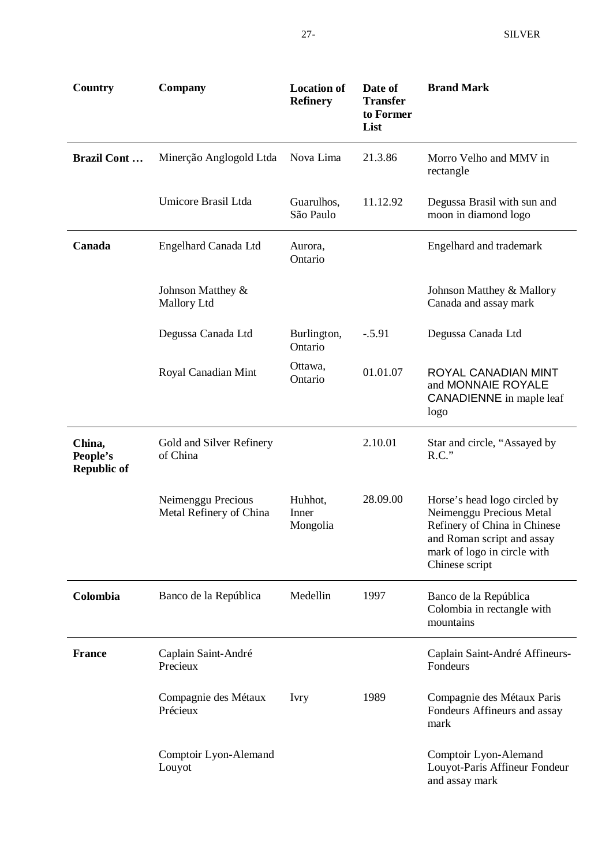| Country                                  | Company                                       | <b>Location of</b><br><b>Refinery</b> | Date of<br><b>Transfer</b><br>to Former<br>List | <b>Brand Mark</b>                                                                                                                                                       |
|------------------------------------------|-----------------------------------------------|---------------------------------------|-------------------------------------------------|-------------------------------------------------------------------------------------------------------------------------------------------------------------------------|
| <b>Brazil Cont</b>                       | Minerção Anglogold Ltda                       | Nova Lima                             | 21.3.86                                         | Morro Velho and MMV in<br>rectangle                                                                                                                                     |
|                                          | Umicore Brasil Ltda                           | Guarulhos,<br>São Paulo               | 11.12.92                                        | Degussa Brasil with sun and<br>moon in diamond logo                                                                                                                     |
| Canada                                   | Engelhard Canada Ltd                          | Aurora,<br>Ontario                    |                                                 | Engelhard and trademark                                                                                                                                                 |
|                                          | Johnson Matthey &<br>Mallory Ltd              |                                       |                                                 | Johnson Matthey & Mallory<br>Canada and assay mark                                                                                                                      |
|                                          | Degussa Canada Ltd                            | Burlington,<br>Ontario                | $-.5.91$                                        | Degussa Canada Ltd                                                                                                                                                      |
|                                          | Royal Canadian Mint                           | Ottawa,<br>Ontario                    | 01.01.07                                        | ROYAL CANADIAN MINT<br>and MONNAIE ROYALE<br><b>CANADIENNE</b> in maple leaf<br>logo                                                                                    |
| China,<br>People's<br><b>Republic of</b> | Gold and Silver Refinery<br>of China          |                                       | 2.10.01                                         | Star and circle, "Assayed by<br>$R.C.$ "                                                                                                                                |
|                                          | Neimenggu Precious<br>Metal Refinery of China | Huhhot,<br>Inner<br>Mongolia          | 28.09.00                                        | Horse's head logo circled by<br>Neimenggu Precious Metal<br>Refinery of China in Chinese<br>and Roman script and assay<br>mark of logo in circle with<br>Chinese script |
| Colombia                                 | Banco de la República                         | Medellin                              | 1997                                            | Banco de la República<br>Colombia in rectangle with<br>mountains                                                                                                        |
| <b>France</b>                            | Caplain Saint-André<br>Precieux               |                                       |                                                 | Caplain Saint-André Affineurs-<br>Fondeurs                                                                                                                              |
|                                          | Compagnie des Métaux<br>Précieux              | <b>Ivry</b>                           | 1989                                            | Compagnie des Métaux Paris<br>Fondeurs Affineurs and assay<br>mark                                                                                                      |
|                                          | Comptoir Lyon-Alemand<br>Louyot               |                                       |                                                 | Comptoir Lyon-Alemand<br>Louyot-Paris Affineur Fondeur<br>and assay mark                                                                                                |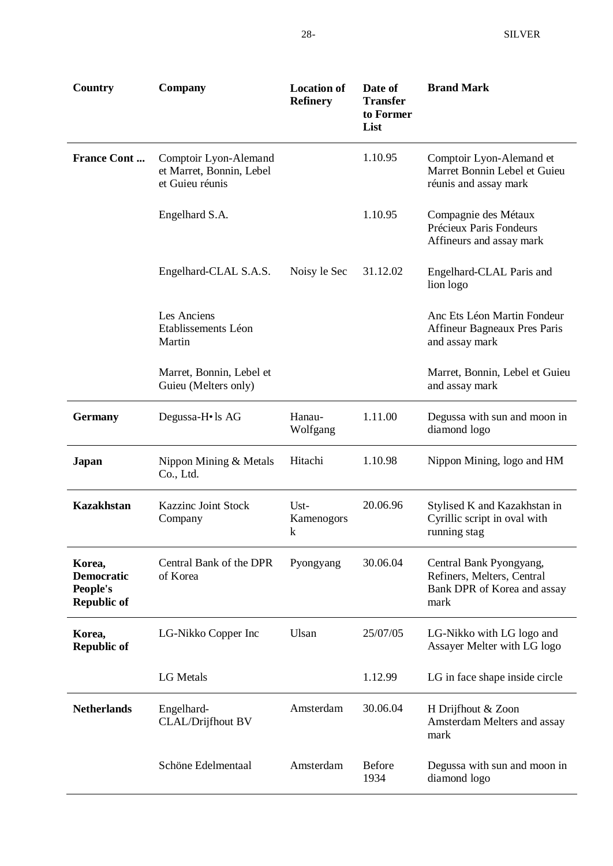| Country                                                       | Company                                                              | <b>Location of</b><br><b>Refinery</b> | Date of<br><b>Transfer</b><br>to Former<br>List | <b>Brand Mark</b>                                                                            |
|---------------------------------------------------------------|----------------------------------------------------------------------|---------------------------------------|-------------------------------------------------|----------------------------------------------------------------------------------------------|
| <b>France Cont</b>                                            | Comptoir Lyon-Alemand<br>et Marret, Bonnin, Lebel<br>et Guieu réunis |                                       | 1.10.95                                         | Comptoir Lyon-Alemand et<br>Marret Bonnin Lebel et Guieu<br>réunis and assay mark            |
|                                                               | Engelhard S.A.                                                       |                                       | 1.10.95                                         | Compagnie des Métaux<br>Précieux Paris Fondeurs<br>Affineurs and assay mark                  |
|                                                               | Engelhard-CLAL S.A.S.                                                | Noisy le Sec                          | 31.12.02                                        | Engelhard-CLAL Paris and<br>lion logo                                                        |
|                                                               | Les Anciens<br>Etablissements Léon<br>Martin                         |                                       |                                                 | Anc Ets Léon Martin Fondeur<br>Affineur Bagneaux Pres Paris<br>and assay mark                |
|                                                               | Marret, Bonnin, Lebel et<br>Guieu (Melters only)                     |                                       |                                                 | Marret, Bonnin, Lebel et Guieu<br>and assay mark                                             |
| <b>Germany</b>                                                | Degussa-H• ls AG                                                     | Hanau-<br>Wolfgang                    | 1.11.00                                         | Degussa with sun and moon in<br>diamond logo                                                 |
| Japan                                                         | Nippon Mining & Metals<br>Co., Ltd.                                  | Hitachi                               | 1.10.98                                         | Nippon Mining, logo and HM                                                                   |
| <b>Kazakhstan</b>                                             | <b>Kazzinc Joint Stock</b><br>Company                                | Ust-<br>Kamenogors<br>k               | 20.06.96                                        | Stylised K and Kazakhstan in<br>Cyrillic script in oval with<br>running stag                 |
| Korea,<br><b>Democratic</b><br>People's<br><b>Republic of</b> | Central Bank of the DPR<br>of Korea                                  | Pyongyang                             | 30.06.04                                        | Central Bank Pyongyang,<br>Refiners, Melters, Central<br>Bank DPR of Korea and assay<br>mark |
| Korea,<br><b>Republic of</b>                                  | LG-Nikko Copper Inc                                                  | Ulsan                                 | 25/07/05                                        | LG-Nikko with LG logo and<br>Assayer Melter with LG logo                                     |
|                                                               | <b>LG</b> Metals                                                     |                                       | 1.12.99                                         | LG in face shape inside circle                                                               |
| <b>Netherlands</b>                                            | Engelhard-<br>CLAL/Drijfhout BV                                      | Amsterdam                             | 30.06.04                                        | H Drijfhout & Zoon<br>Amsterdam Melters and assay<br>mark                                    |
|                                                               | Schöne Edelmentaal                                                   | Amsterdam                             | <b>Before</b><br>1934                           | Degussa with sun and moon in<br>diamond logo                                                 |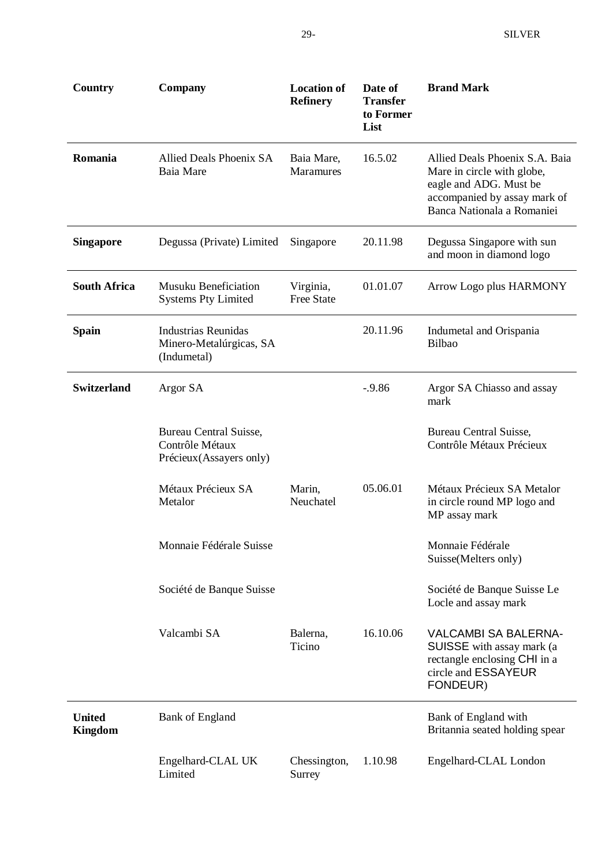| Country                         | Company                                                                      | <b>Location of</b><br><b>Refinery</b> | Date of<br><b>Transfer</b><br>to Former<br>List | <b>Brand Mark</b>                                                                                                                                    |
|---------------------------------|------------------------------------------------------------------------------|---------------------------------------|-------------------------------------------------|------------------------------------------------------------------------------------------------------------------------------------------------------|
| Romania                         | Allied Deals Phoenix SA<br>Baia Mare                                         | Baia Mare,<br><b>Maramures</b>        | 16.5.02                                         | Allied Deals Phoenix S.A. Baia<br>Mare in circle with globe,<br>eagle and ADG. Must be<br>accompanied by assay mark of<br>Banca Nationala a Romaniei |
| <b>Singapore</b>                | Degussa (Private) Limited                                                    | Singapore                             | 20.11.98                                        | Degussa Singapore with sun<br>and moon in diamond logo                                                                                               |
| <b>South Africa</b>             | <b>Musuku Beneficiation</b><br><b>Systems Pty Limited</b>                    | Virginia,<br><b>Free State</b>        | 01.01.07                                        | Arrow Logo plus HARMONY                                                                                                                              |
| <b>Spain</b>                    | <b>Industrias Reunidas</b><br>Minero-Metalúrgicas, SA<br>(Indumetal)         |                                       | 20.11.96                                        | Indumetal and Orispania<br><b>Bilbao</b>                                                                                                             |
| <b>Switzerland</b>              | Argor SA                                                                     |                                       | $-9.86$                                         | Argor SA Chiasso and assay<br>mark                                                                                                                   |
|                                 | <b>Bureau Central Suisse,</b><br>Contrôle Métaux<br>Précieux (Assayers only) |                                       |                                                 | <b>Bureau Central Suisse,</b><br>Contrôle Métaux Précieux                                                                                            |
|                                 | Métaux Précieux SA<br>Metalor                                                | Marin,<br>Neuchatel                   | 05.06.01                                        | Métaux Précieux SA Metalor<br>in circle round MP logo and<br>MP assay mark                                                                           |
|                                 | Monnaie Fédérale Suisse                                                      |                                       |                                                 | Monnaie Fédérale<br>Suisse(Melters only)                                                                                                             |
|                                 | Société de Banque Suisse                                                     |                                       |                                                 | Société de Banque Suisse Le<br>Locle and assay mark                                                                                                  |
|                                 | Valcambi SA                                                                  | Balerna,<br>Ticino                    | 16.10.06                                        | <b>VALCAMBI SA BALERNA-</b><br>SUISSE with assay mark (a<br>rectangle enclosing CHI in a<br>circle and ESSAYEUR<br>FONDEUR)                          |
| <b>United</b><br><b>Kingdom</b> | <b>Bank of England</b>                                                       |                                       |                                                 | Bank of England with<br>Britannia seated holding spear                                                                                               |
|                                 | Engelhard-CLAL UK<br>Limited                                                 | Chessington,<br>Surrey                | 1.10.98                                         | Engelhard-CLAL London                                                                                                                                |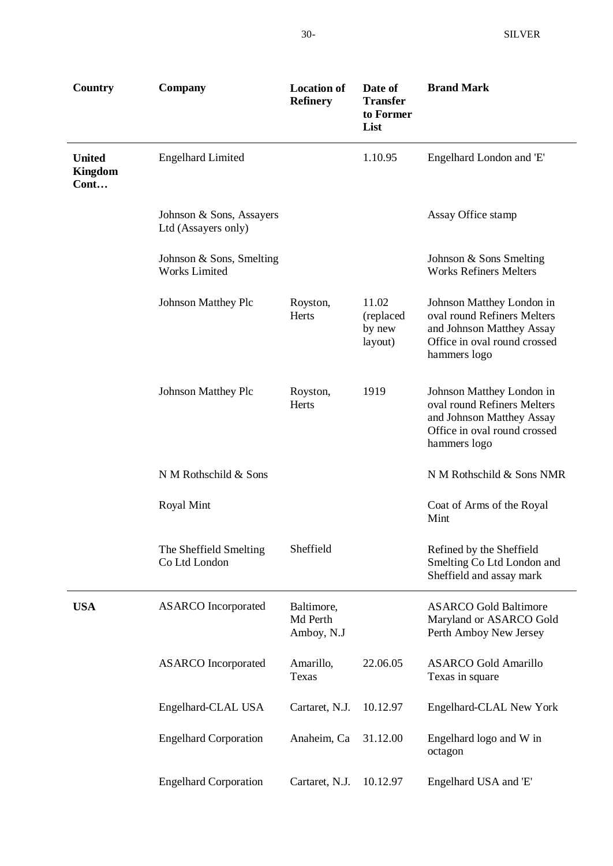| Country                          | Company                                          | <b>Location of</b><br><b>Refinery</b> | Date of<br><b>Transfer</b><br>to Former<br>List | <b>Brand Mark</b>                                                                                                                     |
|----------------------------------|--------------------------------------------------|---------------------------------------|-------------------------------------------------|---------------------------------------------------------------------------------------------------------------------------------------|
| <b>United</b><br>Kingdom<br>Cont | <b>Engelhard Limited</b>                         |                                       | 1.10.95                                         | Engelhard London and 'E'                                                                                                              |
|                                  | Johnson & Sons, Assayers<br>Ltd (Assayers only)  |                                       |                                                 | Assay Office stamp                                                                                                                    |
|                                  | Johnson & Sons, Smelting<br><b>Works Limited</b> |                                       |                                                 | Johnson & Sons Smelting<br><b>Works Refiners Melters</b>                                                                              |
|                                  | <b>Johnson Matthey Plc</b>                       | Royston,<br>Herts                     | 11.02<br>(replaced<br>by new<br>layout)         | Johnson Matthey London in<br>oval round Refiners Melters<br>and Johnson Matthey Assay<br>Office in oval round crossed<br>hammers logo |
|                                  | <b>Johnson Matthey Plc</b>                       | Royston,<br>Herts                     | 1919                                            | Johnson Matthey London in<br>oval round Refiners Melters<br>and Johnson Matthey Assay<br>Office in oval round crossed<br>hammers logo |
|                                  | N M Rothschild & Sons                            |                                       |                                                 | N M Rothschild & Sons NMR                                                                                                             |
|                                  | <b>Royal Mint</b>                                |                                       |                                                 | Coat of Arms of the Royal<br>Mint                                                                                                     |
|                                  | The Sheffield Smelting<br>Co Ltd London          | Sheffield                             |                                                 | Refined by the Sheffield<br>Smelting Co Ltd London and<br>Sheffield and assay mark                                                    |
| <b>USA</b>                       | <b>ASARCO</b> Incorporated                       | Baltimore,<br>Md Perth<br>Amboy, N.J  |                                                 | <b>ASARCO Gold Baltimore</b><br>Maryland or ASARCO Gold<br>Perth Amboy New Jersey                                                     |
|                                  | <b>ASARCO</b> Incorporated                       | Amarillo,<br>Texas                    | 22.06.05                                        | <b>ASARCO</b> Gold Amarillo<br>Texas in square                                                                                        |
|                                  | Engelhard-CLAL USA                               | Cartaret, N.J.                        | 10.12.97                                        | Engelhard-CLAL New York                                                                                                               |
|                                  | <b>Engelhard Corporation</b>                     | Anaheim, Ca                           | 31.12.00                                        | Engelhard logo and W in<br>octagon                                                                                                    |
|                                  | <b>Engelhard Corporation</b>                     | Cartaret, N.J.                        | 10.12.97                                        | Engelhard USA and 'E'                                                                                                                 |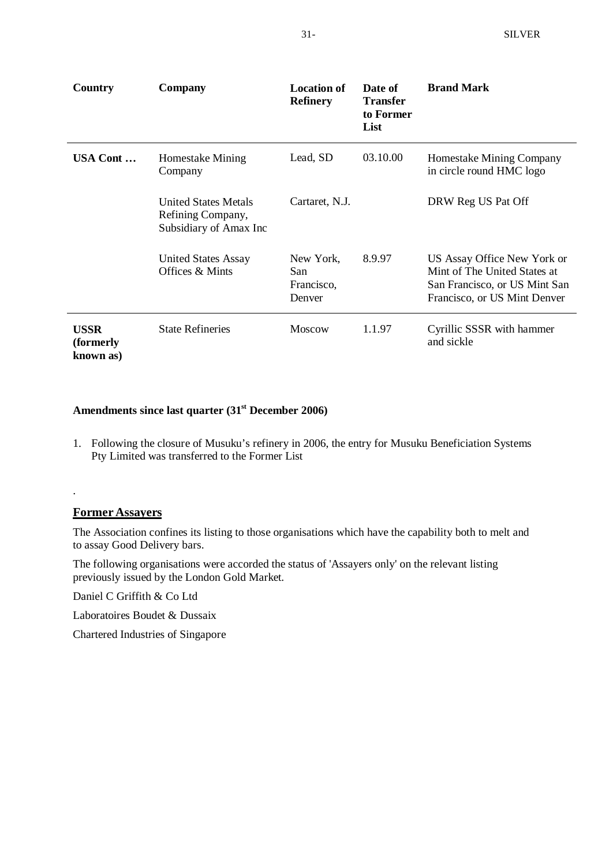| Country                                | <b>Company</b>                                                             | <b>Location of</b><br><b>Refinery</b>    | Date of<br><b>Transfer</b><br>to Former<br>List | <b>Brand Mark</b>                                                                                                            |
|----------------------------------------|----------------------------------------------------------------------------|------------------------------------------|-------------------------------------------------|------------------------------------------------------------------------------------------------------------------------------|
| USA Cont                               | Homestake Mining<br>Company                                                | Lead, SD                                 | 03.10.00                                        | Homestake Mining Company<br>in circle round HMC logo                                                                         |
|                                        | <b>United States Metals</b><br>Refining Company,<br>Subsidiary of Amax Inc | Cartaret, N.J.                           |                                                 | DRW Reg US Pat Off                                                                                                           |
|                                        | <b>United States Assay</b><br>Offices & Mints                              | New York,<br>San<br>Francisco,<br>Denver | 8.9.97                                          | US Assay Office New York or<br>Mint of The United States at<br>San Francisco, or US Mint San<br>Francisco, or US Mint Denver |
| <b>USSR</b><br>(formerly)<br>known as) | <b>State Refineries</b>                                                    | <b>Moscow</b>                            | 1.1.97                                          | Cyrillic SSSR with hammer<br>and sickle                                                                                      |

### **Amendments since last quarter (31st December 2006)**

1. Following the closure of Musuku's refinery in 2006, the entry for Musuku Beneficiation Systems Pty Limited was transferred to the Former List

#### **Former Assayers**

.

The Association confines its listing to those organisations which have the capability both to melt and to assay Good Delivery bars.

The following organisations were accorded the status of 'Assayers only' on the relevant listing previously issued by the London Gold Market.

Daniel C Griffith & Co Ltd

Laboratoires Boudet & Dussaix

Chartered Industries of Singapore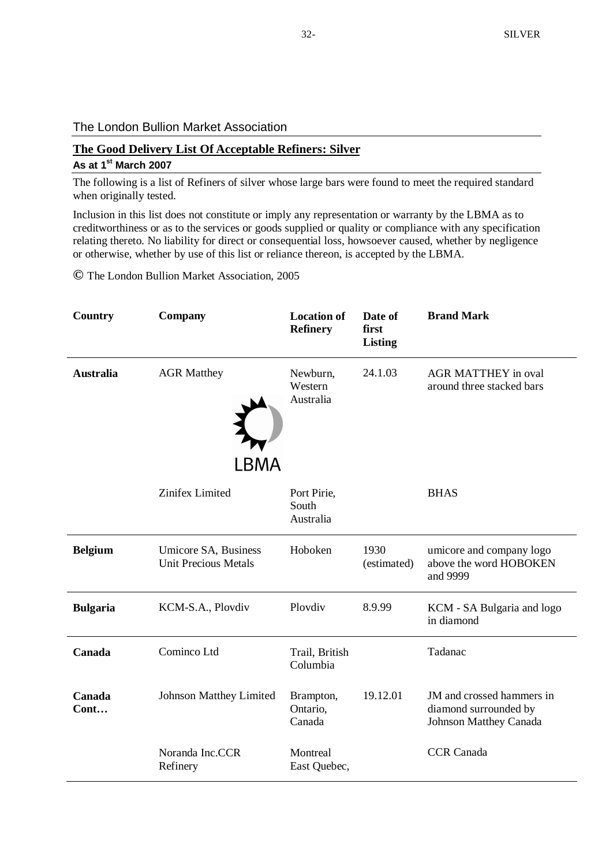#### The London Bullion Market Association

## **The Good Delivery List Of Acceptable Refiners: Silver**

#### **As at 1 st March 2007**

The following is a list of Refiners of silver whose large bars were found to meet the required standard when originally tested.

Inclusion in this list does not constitute or imply any representation or warranty by the LBMA as to creditworthiness or as to the services or goods supplied or quality or compliance with any specification relating thereto. No liability for direct or consequential loss, howsoever caused, whether by negligence or otherwise, whether by use of this list or reliance thereon, is accepted by the LBMA.

**©** The London Bullion Market Association, 2005

| Country          | Company                                             | <b>Location of</b><br><b>Refinery</b> | Date of<br>first<br><b>Listing</b> | <b>Brand Mark</b>                                                                   |
|------------------|-----------------------------------------------------|---------------------------------------|------------------------------------|-------------------------------------------------------------------------------------|
| <b>Australia</b> | <b>AGR Matthey</b><br>LBMA                          | Newburn,<br>Western<br>Australia      | 24.1.03                            | <b>AGR MATTHEY in oval</b><br>around three stacked bars                             |
|                  | Zinifex Limited                                     | Port Pirie,<br>South<br>Australia     |                                    | <b>BHAS</b>                                                                         |
| <b>Belgium</b>   | Umicore SA, Business<br><b>Unit Precious Metals</b> | Hoboken                               | 1930<br>(estimated)                | umicore and company logo<br>above the word HOBOKEN<br>and 9999                      |
| <b>Bulgaria</b>  | KCM-S.A., Plovdiv                                   | Plovdiv                               | 8.9.99                             | KCM - SA Bulgaria and logo<br>in diamond                                            |
| Canada           | Cominco Ltd                                         | Trail, British<br>Columbia            |                                    | Tadanac                                                                             |
| Canada<br>Cont   | Johnson Matthey Limited                             | Brampton,<br>Ontario,<br>Canada       | 19.12.01                           | JM and crossed hammers in<br>diamond surrounded by<br><b>Johnson Matthey Canada</b> |
|                  | Noranda Inc.CCR<br>Refinery                         | Montreal<br>East Quebec,              |                                    | <b>CCR</b> Canada                                                                   |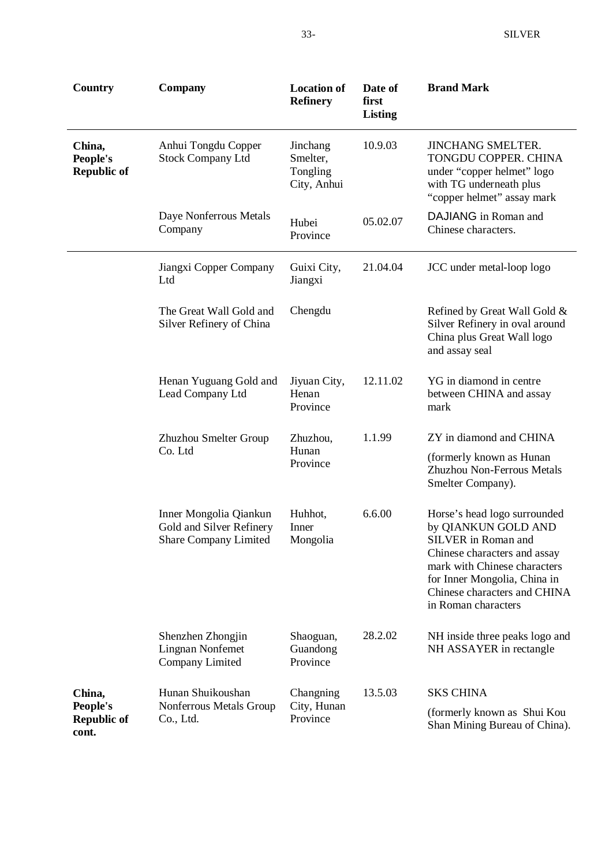| Country                                  | Company                                                                            | <b>Location of</b><br><b>Refinery</b>           | Date of<br>first<br><b>Listing</b> | <b>Brand Mark</b>                                                                                                                                                                                                                 |
|------------------------------------------|------------------------------------------------------------------------------------|-------------------------------------------------|------------------------------------|-----------------------------------------------------------------------------------------------------------------------------------------------------------------------------------------------------------------------------------|
| China,<br>People's<br><b>Republic of</b> | Anhui Tongdu Copper<br><b>Stock Company Ltd</b>                                    | Jinchang<br>Smelter,<br>Tongling<br>City, Anhui | 10.9.03                            | <b>JINCHANG SMELTER.</b><br>TONGDU COPPER. CHINA<br>under "copper helmet" logo<br>with TG underneath plus<br>"copper helmet" assay mark                                                                                           |
|                                          | Daye Nonferrous Metals<br>Company                                                  | Hubei<br>Province                               | 05.02.07                           | DAJIANG in Roman and<br>Chinese characters.                                                                                                                                                                                       |
|                                          | Jiangxi Copper Company<br>Ltd                                                      | Guixi City,<br>Jiangxi                          | 21.04.04                           | JCC under metal-loop logo                                                                                                                                                                                                         |
|                                          | The Great Wall Gold and<br>Silver Refinery of China                                | Chengdu                                         |                                    | Refined by Great Wall Gold &<br>Silver Refinery in oval around<br>China plus Great Wall logo<br>and assay seal                                                                                                                    |
|                                          | Henan Yuguang Gold and<br>Lead Company Ltd                                         | Jiyuan City,<br>Henan<br>Province               | 12.11.02                           | YG in diamond in centre<br>between CHINA and assay<br>mark                                                                                                                                                                        |
|                                          | Zhuzhou Smelter Group<br>Zhuzhou,                                                  |                                                 | 1.1.99                             | ZY in diamond and CHINA                                                                                                                                                                                                           |
|                                          | Co. Ltd                                                                            | Hunan<br>Province                               |                                    | (formerly known as Hunan<br>Zhuzhou Non-Ferrous Metals<br>Smelter Company).                                                                                                                                                       |
|                                          | Inner Mongolia Qiankun<br>Gold and Silver Refinery<br><b>Share Company Limited</b> | Huhhot,<br>Inner<br>Mongolia                    | 6.6.00                             | Horse's head logo surrounded<br>by QIANKUN GOLD AND<br>SILVER in Roman and<br>Chinese characters and assay<br>mark with Chinese characters<br>for Inner Mongolia, China in<br>Chinese characters and CHINA<br>in Roman characters |
|                                          | Shenzhen Zhongjin<br><b>Lingnan Nonfemet</b><br>Company Limited                    | Shaoguan,<br>Guandong<br>Province               | 28.2.02                            | NH inside three peaks logo and<br>NH ASSAYER in rectangle                                                                                                                                                                         |
| China,                                   | Hunan Shuikoushan                                                                  | Changning                                       | 13.5.03                            | <b>SKS CHINA</b>                                                                                                                                                                                                                  |
| People's<br><b>Republic of</b><br>cont.  | Nonferrous Metals Group<br>Co., Ltd.                                               | City, Hunan<br>Province                         |                                    | (formerly known as Shui Kou<br>Shan Mining Bureau of China).                                                                                                                                                                      |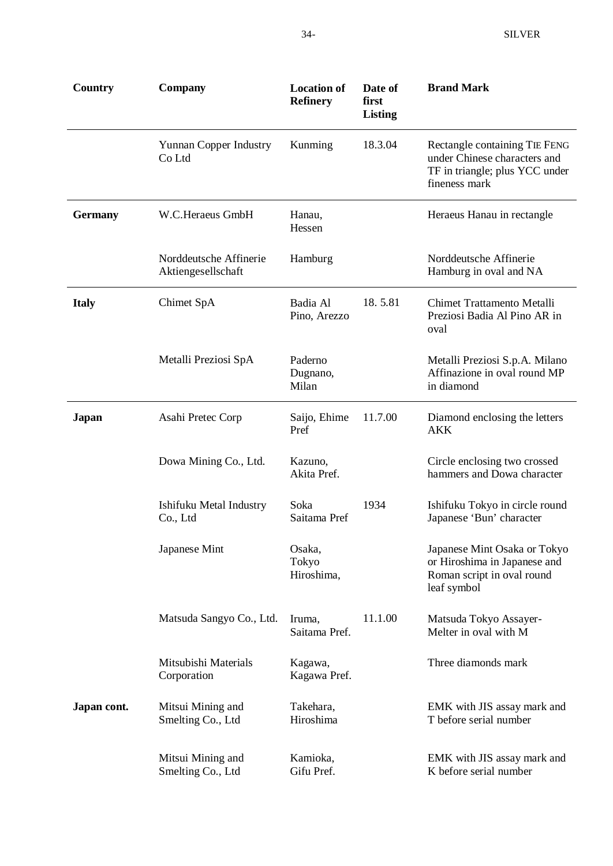| Country        | Company                                      | <b>Location of</b><br><b>Refinery</b> | Date of<br>first<br><b>Listing</b> | <b>Brand Mark</b>                                                                                                |
|----------------|----------------------------------------------|---------------------------------------|------------------------------------|------------------------------------------------------------------------------------------------------------------|
|                | <b>Yunnan Copper Industry</b><br>Co Ltd      | Kunming                               | 18.3.04                            | Rectangle containing TIE FENG<br>under Chinese characters and<br>TF in triangle; plus YCC under<br>fineness mark |
| <b>Germany</b> | W.C.Heraeus GmbH                             | Hanau,<br>Hessen                      |                                    | Heraeus Hanau in rectangle                                                                                       |
|                | Norddeutsche Affinerie<br>Aktiengesellschaft | Hamburg                               |                                    | Norddeutsche Affinerie<br>Hamburg in oval and NA                                                                 |
| <b>Italy</b>   | Chimet SpA                                   | Badia Al<br>Pino, Arezzo              | 18.5.81                            | <b>Chimet Trattamento Metalli</b><br>Preziosi Badia Al Pino AR in<br>oval                                        |
|                | Metalli Preziosi SpA                         | Paderno<br>Dugnano,<br>Milan          |                                    | Metalli Preziosi S.p.A. Milano<br>Affinazione in oval round MP<br>in diamond                                     |
| Japan          | Asahi Pretec Corp                            | Saijo, Ehime<br>Pref                  | 11.7.00                            | Diamond enclosing the letters<br>AKK                                                                             |
|                | Dowa Mining Co., Ltd.                        | Kazuno,<br>Akita Pref.                |                                    | Circle enclosing two crossed<br>hammers and Dowa character                                                       |
|                | Ishifuku Metal Industry<br>Co., Ltd          | Soka<br>Saitama Pref                  | 1934                               | Ishifuku Tokyo in circle round<br>Japanese 'Bun' character                                                       |
|                | Japanese Mint                                | Osaka,<br>Tokyo<br>Hiroshima,         |                                    | Japanese Mint Osaka or Tokyo<br>or Hiroshima in Japanese and<br>Roman script in oval round<br>leaf symbol        |
|                | Matsuda Sangyo Co., Ltd.                     | Iruma,<br>Saitama Pref.               | 11.1.00                            | Matsuda Tokyo Assayer-<br>Melter in oval with M                                                                  |
|                | Mitsubishi Materials<br>Corporation          | Kagawa,<br>Kagawa Pref.               |                                    | Three diamonds mark                                                                                              |
| Japan cont.    | Mitsui Mining and<br>Smelting Co., Ltd       | Takehara,<br>Hiroshima                |                                    | EMK with JIS assay mark and<br>T before serial number                                                            |
|                | Mitsui Mining and<br>Smelting Co., Ltd       | Kamioka,<br>Gifu Pref.                |                                    | EMK with JIS assay mark and<br>K before serial number                                                            |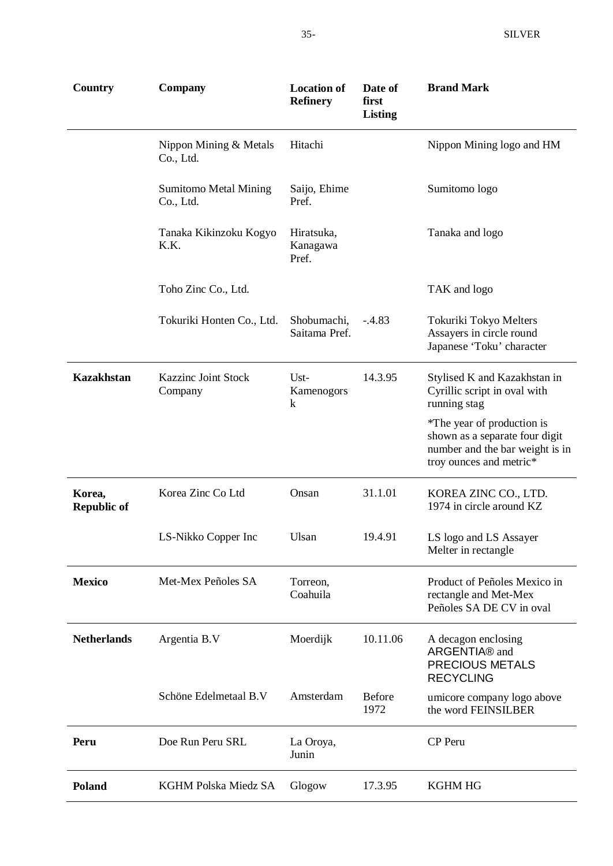| Country                      | Company                                   | <b>Location of</b><br><b>Refinery</b> | Date of<br>first<br><b>Listing</b> | <b>Brand Mark</b>                                                                                                          |
|------------------------------|-------------------------------------------|---------------------------------------|------------------------------------|----------------------------------------------------------------------------------------------------------------------------|
|                              | Nippon Mining & Metals<br>Co., Ltd.       | Hitachi                               |                                    | Nippon Mining logo and HM                                                                                                  |
|                              | <b>Sumitomo Metal Mining</b><br>Co., Ltd. | Saijo, Ehime<br>Pref.                 |                                    | Sumitomo logo                                                                                                              |
|                              | Tanaka Kikinzoku Kogyo<br>K.K.            | Hiratsuka,<br>Kanagawa<br>Pref.       |                                    | Tanaka and logo                                                                                                            |
|                              | Toho Zinc Co., Ltd.                       |                                       |                                    | TAK and logo                                                                                                               |
|                              | Tokuriki Honten Co., Ltd.                 | Shobumachi,<br>Saitama Pref.          | $-.4.83$                           | Tokuriki Tokyo Melters<br>Assayers in circle round<br>Japanese 'Toku' character                                            |
| <b>Kazakhstan</b>            | <b>Kazzinc Joint Stock</b><br>Company     | Ust-<br>Kamenogors<br>k               | 14.3.95                            | Stylised K and Kazakhstan in<br>Cyrillic script in oval with<br>running stag                                               |
|                              |                                           |                                       |                                    | *The year of production is<br>shown as a separate four digit<br>number and the bar weight is in<br>troy ounces and metric* |
| Korea,<br><b>Republic of</b> | Korea Zinc Co Ltd                         | Onsan                                 | 31.1.01                            | KOREA ZINC CO., LTD.<br>1974 in circle around KZ                                                                           |
|                              | LS-Nikko Copper Inc                       | Ulsan                                 | 19.4.91                            | LS logo and LS Assayer<br>Melter in rectangle                                                                              |
| <b>Mexico</b>                | Met-Mex Peñoles SA                        | Torreon,<br>Coahuila                  |                                    | Product of Peñoles Mexico in<br>rectangle and Met-Mex<br>Peñoles SA DE CV in oval                                          |
| <b>Netherlands</b>           | Argentia B.V                              | Moerdijk                              | 10.11.06                           | A decagon enclosing<br>ARGENTIA® and<br><b>PRECIOUS METALS</b><br><b>RECYCLING</b>                                         |
|                              | Schöne Edelmetaal B.V                     | Amsterdam                             | <b>Before</b><br>1972              | umicore company logo above<br>the word FEINSILBER                                                                          |
| Peru                         | Doe Run Peru SRL                          | La Oroya,<br>Junin                    |                                    | CP Peru                                                                                                                    |
| Poland                       | KGHM Polska Miedz SA                      | Glogow                                | 17.3.95                            | <b>KGHM HG</b>                                                                                                             |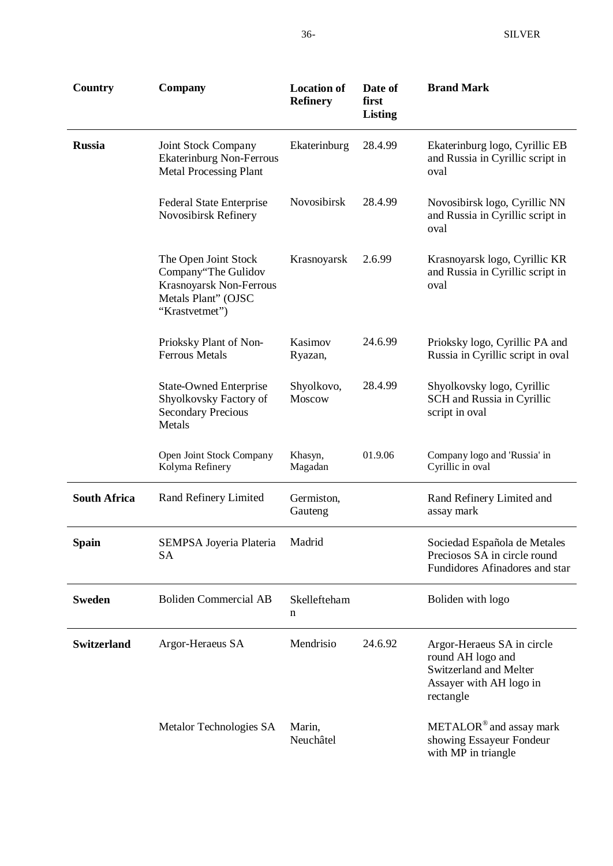| Country             | <b>Company</b>                                                                                                  | <b>Location of</b><br><b>Refinery</b> | Date of<br>first<br><b>Listing</b> | <b>Brand Mark</b>                                                                                                 |
|---------------------|-----------------------------------------------------------------------------------------------------------------|---------------------------------------|------------------------------------|-------------------------------------------------------------------------------------------------------------------|
| <b>Russia</b>       | Joint Stock Company<br><b>Ekaterinburg Non-Ferrous</b><br><b>Metal Processing Plant</b>                         | Ekaterinburg                          | 28.4.99                            | Ekaterinburg logo, Cyrillic EB<br>and Russia in Cyrillic script in<br>oval                                        |
|                     | <b>Federal State Enterprise</b><br>Novosibirsk Refinery                                                         | Novosibirsk                           | 28.4.99                            | Novosibirsk logo, Cyrillic NN<br>and Russia in Cyrillic script in<br>oval                                         |
|                     | The Open Joint Stock<br>Company"The Gulidov<br>Krasnoyarsk Non-Ferrous<br>Metals Plant" (OJSC<br>"Krastvetmet") | Krasnoyarsk                           | 2.6.99                             | Krasnoyarsk logo, Cyrillic KR<br>and Russia in Cyrillic script in<br>oval                                         |
|                     | Prioksky Plant of Non-<br><b>Ferrous Metals</b>                                                                 | Kasimov<br>Ryazan,                    | 24.6.99                            | Prioksky logo, Cyrillic PA and<br>Russia in Cyrillic script in oval                                               |
|                     | <b>State-Owned Enterprise</b><br>Shyolkovsky Factory of<br><b>Secondary Precious</b><br>Metals                  | Shyolkovo,<br>Moscow                  | 28.4.99                            | Shyolkovsky logo, Cyrillic<br>SCH and Russia in Cyrillic<br>script in oval                                        |
|                     | Open Joint Stock Company<br>Kolyma Refinery                                                                     | Khasyn,<br>Magadan                    | 01.9.06                            | Company logo and 'Russia' in<br>Cyrillic in oval                                                                  |
| <b>South Africa</b> | Rand Refinery Limited                                                                                           | Germiston,<br>Gauteng                 |                                    | Rand Refinery Limited and<br>assay mark                                                                           |
| Spain               | SEMPSA Joyeria Plateria<br><b>SA</b>                                                                            | Madrid                                |                                    | Sociedad Española de Metales<br>Preciosos SA in circle round<br>Fundidores Afinadores and star                    |
| <b>Sweden</b>       | <b>Boliden Commercial AB</b>                                                                                    | Skellefteham<br>n                     |                                    | Boliden with logo                                                                                                 |
| <b>Switzerland</b>  | Argor-Heraeus SA                                                                                                | Mendrisio                             | 24.6.92                            | Argor-Heraeus SA in circle<br>round AH logo and<br>Switzerland and Melter<br>Assayer with AH logo in<br>rectangle |
|                     | Metalor Technologies SA                                                                                         | Marin,<br>Neuchâtel                   |                                    | $\text{METALOR}^{\circledast}$ and assay mark<br>showing Essayeur Fondeur<br>with MP in triangle                  |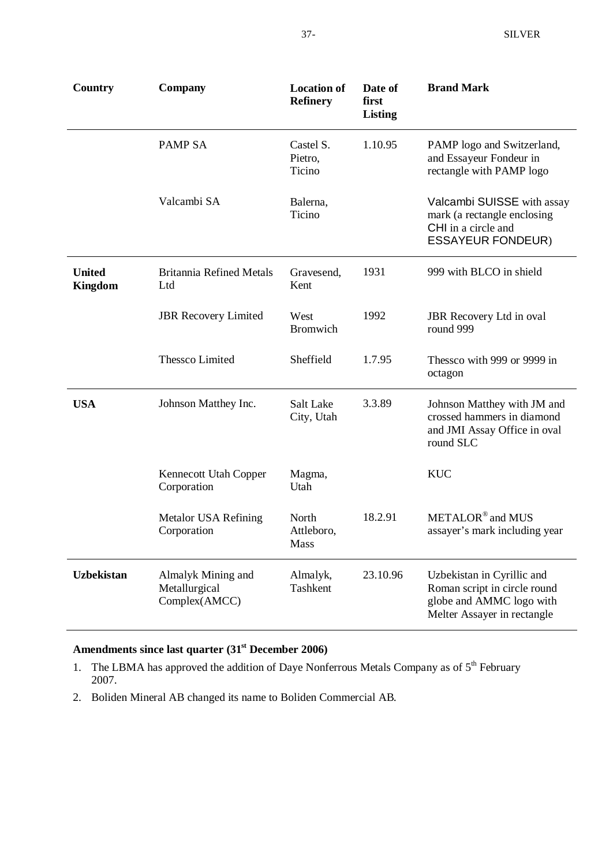| Country                         | Company                                              | <b>Location of</b><br><b>Refinery</b> | Date of<br>first<br><b>Listing</b> | <b>Brand Mark</b>                                                                                                     |
|---------------------------------|------------------------------------------------------|---------------------------------------|------------------------------------|-----------------------------------------------------------------------------------------------------------------------|
|                                 | <b>PAMP SA</b>                                       | Castel S.<br>Pietro,<br>Ticino        | 1.10.95                            | PAMP logo and Switzerland,<br>and Essayeur Fondeur in<br>rectangle with PAMP logo                                     |
|                                 | Valcambi SA                                          | Balerna,<br>Ticino                    |                                    | Valcambi SUISSE with assay<br>mark (a rectangle enclosing<br>CHI in a circle and<br><b>ESSAYEUR FONDEUR)</b>          |
| <b>United</b><br><b>Kingdom</b> | <b>Britannia Refined Metals</b><br>Ltd               | Gravesend,<br>Kent                    | 1931                               | 999 with BLCO in shield                                                                                               |
|                                 | <b>JBR</b> Recovery Limited                          | West<br><b>Bromwich</b>               | 1992                               | <b>JBR</b> Recovery Ltd in oval<br>round 999                                                                          |
|                                 | <b>Thessco Limited</b>                               | Sheffield                             | 1.7.95                             | Thessco with 999 or 9999 in<br>octagon                                                                                |
| <b>USA</b>                      | Johnson Matthey Inc.                                 | Salt Lake<br>City, Utah               | 3.3.89                             | Johnson Matthey with JM and<br>crossed hammers in diamond<br>and JMI Assay Office in oval<br>round SLC                |
|                                 | Kennecott Utah Copper<br>Corporation                 | Magma,<br>Utah                        |                                    | <b>KUC</b>                                                                                                            |
|                                 | <b>Metalor USA Refining</b><br>Corporation           | North<br>Attleboro,<br>Mass           | 18.2.91                            | METALOR <sup>®</sup> and MUS<br>assayer's mark including year                                                         |
| <b>Uzbekistan</b>               | Almalyk Mining and<br>Metallurgical<br>Complex(AMCC) | Almalyk,<br>Tashkent                  | 23.10.96                           | Uzbekistan in Cyrillic and<br>Roman script in circle round<br>globe and AMMC logo with<br>Melter Assayer in rectangle |

## **Amendments since last quarter (31st December 2006)**

- 1. The LBMA has approved the addition of Daye Nonferrous Metals Company as of  $5<sup>th</sup>$  February 2007.
- 2. Boliden Mineral AB changed its name to Boliden Commercial AB.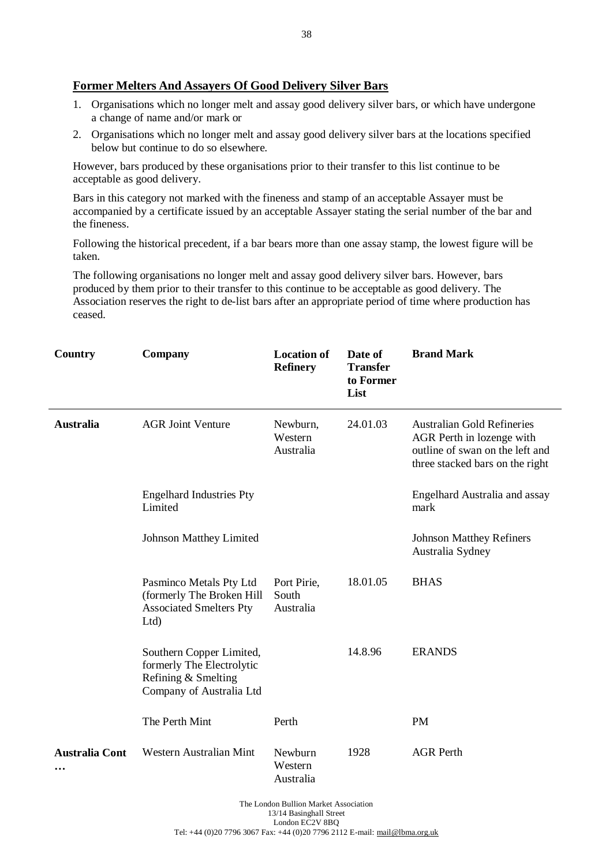#### **Former Melters And Assayers Of Good Delivery Silver Bars**

- 1. Organisations which no longer melt and assay good delivery silver bars, or which have undergone a change of name and/or mark or
- 2. Organisations which no longer melt and assay good delivery silver bars at the locations specified below but continue to do so elsewhere.

However, bars produced by these organisations prior to their transfer to this list continue to be acceptable as good delivery.

Bars in this category not marked with the fineness and stamp of an acceptable Assayer must be accompanied by a certificate issued by an acceptable Assayer stating the serial number of the bar and the fineness.

Following the historical precedent, if a bar bears more than one assay stamp, the lowest figure will be taken.

The following organisations no longer melt and assay good delivery silver bars. However, bars produced by them prior to their transfer to this continue to be acceptable as good delivery. The Association reserves the right to de-list bars after an appropriate period of time where production has ceased.

| Country               | <b>Company</b>                                                                                           | <b>Location of</b><br><b>Refinery</b> | Date of<br><b>Transfer</b><br>to Former<br>List | <b>Brand Mark</b>                                                                                                                    |  |  |
|-----------------------|----------------------------------------------------------------------------------------------------------|---------------------------------------|-------------------------------------------------|--------------------------------------------------------------------------------------------------------------------------------------|--|--|
| <b>Australia</b>      | <b>AGR Joint Venture</b>                                                                                 | Newburn,<br>Western<br>Australia      | 24.01.03                                        | <b>Australian Gold Refineries</b><br>AGR Perth in lozenge with<br>outline of swan on the left and<br>three stacked bars on the right |  |  |
|                       | <b>Engelhard Industries Pty</b><br>Limited                                                               |                                       |                                                 | Engelhard Australia and assay<br>mark                                                                                                |  |  |
|                       | <b>Johnson Matthey Limited</b>                                                                           |                                       |                                                 | <b>Johnson Matthey Refiners</b><br>Australia Sydney                                                                                  |  |  |
|                       | Pasminco Metals Pty Ltd<br>(formerly The Broken Hill<br><b>Associated Smelters Pty</b><br>Ltd)           | Port Pirie,<br>South<br>Australia     | 18.01.05                                        | <b>BHAS</b>                                                                                                                          |  |  |
|                       | Southern Copper Limited,<br>formerly The Electrolytic<br>Refining & Smelting<br>Company of Australia Ltd |                                       | 14.8.96                                         | <b>ERANDS</b>                                                                                                                        |  |  |
|                       | The Perth Mint                                                                                           | Perth                                 |                                                 | <b>PM</b>                                                                                                                            |  |  |
| <b>Australia Cont</b> | Western Australian Mint                                                                                  | Newburn<br>Western<br>Australia       | 1928                                            | <b>AGR Perth</b>                                                                                                                     |  |  |
|                       | The London Bullion Market Association                                                                    |                                       |                                                 |                                                                                                                                      |  |  |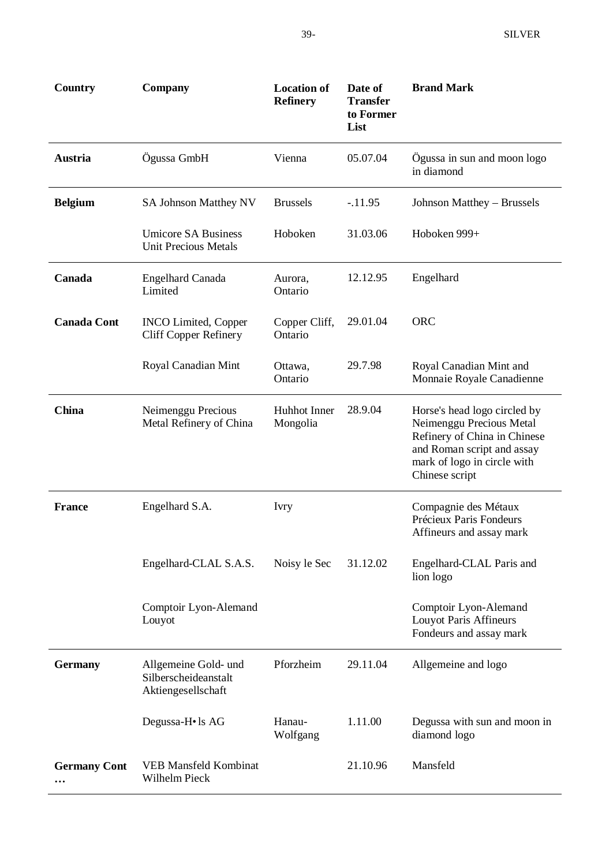| <b>Country</b>      | Company                                                            | <b>Location of</b><br><b>Refinery</b> | Date of<br><b>Transfer</b><br>to Former<br>List | <b>Brand Mark</b>                                                                                                                                                       |
|---------------------|--------------------------------------------------------------------|---------------------------------------|-------------------------------------------------|-------------------------------------------------------------------------------------------------------------------------------------------------------------------------|
| Austria             | Ögussa GmbH                                                        | Vienna                                | 05.07.04                                        | Ögussa in sun and moon logo<br>in diamond                                                                                                                               |
| <b>Belgium</b>      | <b>SA Johnson Matthey NV</b>                                       | <b>Brussels</b>                       | $-11.95$                                        | Johnson Matthey - Brussels                                                                                                                                              |
|                     | <b>Umicore SA Business</b><br><b>Unit Precious Metals</b>          | Hoboken                               | 31.03.06                                        | Hoboken 999+                                                                                                                                                            |
| Canada              | <b>Engelhard Canada</b><br>Limited                                 | Aurora,<br>Ontario                    | 12.12.95                                        | Engelhard                                                                                                                                                               |
| <b>Canada Cont</b>  | <b>INCO Limited, Copper</b><br><b>Cliff Copper Refinery</b>        | Copper Cliff,<br>Ontario              | 29.01.04                                        | <b>ORC</b>                                                                                                                                                              |
|                     | Royal Canadian Mint                                                | Ottawa,<br>Ontario                    | 29.7.98                                         | Royal Canadian Mint and<br>Monnaie Royale Canadienne                                                                                                                    |
| China               | Neimenggu Precious<br>Metal Refinery of China                      | Huhhot Inner<br>Mongolia              | 28.9.04                                         | Horse's head logo circled by<br>Neimenggu Precious Metal<br>Refinery of China in Chinese<br>and Roman script and assay<br>mark of logo in circle with<br>Chinese script |
| <b>France</b>       | Engelhard S.A.                                                     | Ivry                                  |                                                 | Compagnie des Métaux<br>Précieux Paris Fondeurs<br>Affineurs and assay mark                                                                                             |
|                     | Engelhard-CLAL S.A.S.                                              | Noisy le Sec                          | 31.12.02                                        | Engelhard-CLAL Paris and<br>lion logo                                                                                                                                   |
|                     | Comptoir Lyon-Alemand<br>Louyot                                    |                                       |                                                 | Comptoir Lyon-Alemand<br><b>Louyot Paris Affineurs</b><br>Fondeurs and assay mark                                                                                       |
| <b>Germany</b>      | Allgemeine Gold- und<br>Silberscheideanstalt<br>Aktiengesellschaft | Pforzheim                             | 29.11.04                                        | Allgemeine and logo                                                                                                                                                     |
|                     | Degussa-H• ls AG                                                   | Hanau-<br>Wolfgang                    | 1.11.00                                         | Degussa with sun and moon in<br>diamond logo                                                                                                                            |
| <b>Germany Cont</b> | <b>VEB Mansfeld Kombinat</b><br>Wilhelm Pieck                      |                                       | 21.10.96                                        | Mansfeld                                                                                                                                                                |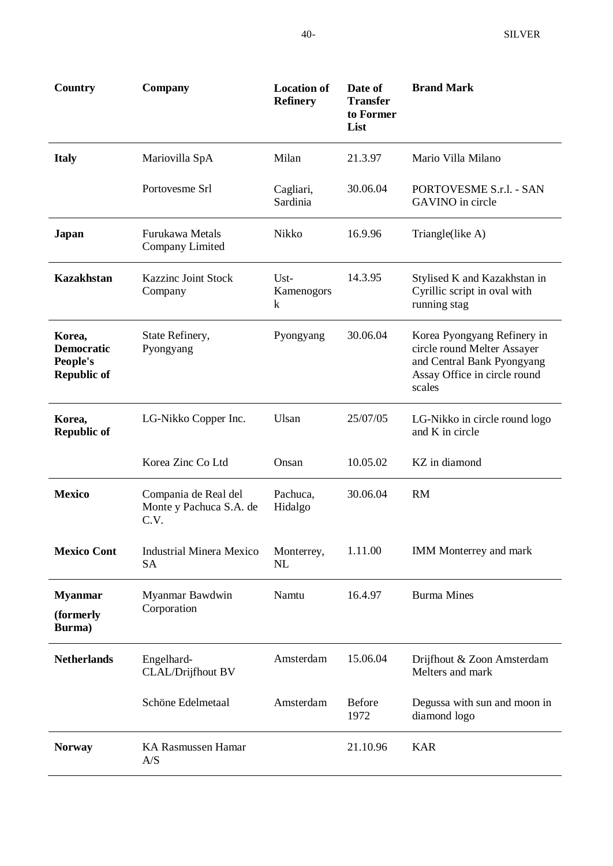| Country                                                       | Company                                                 | <b>Location of</b><br><b>Refinery</b> | Date of<br><b>Transfer</b><br>to Former<br>List | <b>Brand Mark</b>                                                                                                                  |
|---------------------------------------------------------------|---------------------------------------------------------|---------------------------------------|-------------------------------------------------|------------------------------------------------------------------------------------------------------------------------------------|
| <b>Italy</b>                                                  | Mariovilla SpA                                          | Milan                                 | 21.3.97                                         | Mario Villa Milano                                                                                                                 |
|                                                               | Portovesme Srl                                          | Cagliari,<br>Sardinia                 | 30.06.04                                        | PORTOVESME S.r.l. - SAN<br>GAVINO in circle                                                                                        |
| Japan                                                         | Furukawa Metals<br>Company Limited                      | Nikko                                 | 16.9.96                                         | Triangle(like A)                                                                                                                   |
| <b>Kazakhstan</b>                                             | <b>Kazzinc Joint Stock</b><br>Company                   | $Ust-$<br>Kamenogors<br>k             | 14.3.95                                         | Stylised K and Kazakhstan in<br>Cyrillic script in oval with<br>running stag                                                       |
| Korea,<br><b>Democratic</b><br>People's<br><b>Republic of</b> | State Refinery,<br>Pyongyang                            | Pyongyang                             | 30.06.04                                        | Korea Pyongyang Refinery in<br>circle round Melter Assayer<br>and Central Bank Pyongyang<br>Assay Office in circle round<br>scales |
| Korea,<br><b>Republic of</b>                                  | LG-Nikko Copper Inc.                                    | Ulsan                                 | 25/07/05                                        | LG-Nikko in circle round logo<br>and K in circle                                                                                   |
|                                                               | Korea Zinc Co Ltd                                       | Onsan                                 | 10.05.02                                        | KZ in diamond                                                                                                                      |
| <b>Mexico</b>                                                 | Compania de Real del<br>Monte y Pachuca S.A. de<br>C.V. | Pachuca,<br>Hidalgo                   | 30.06.04                                        | <b>RM</b>                                                                                                                          |
| <b>Mexico Cont</b>                                            | <b>Industrial Minera Mexico</b><br><b>SA</b>            | Monterrey,<br>NL                      | 1.11.00                                         | <b>IMM Monterrey and mark</b>                                                                                                      |
| <b>Myanmar</b><br>(formerly<br>Burma)                         | Myanmar Bawdwin<br>Corporation                          | Namtu                                 | 16.4.97                                         | <b>Burma Mines</b>                                                                                                                 |
| <b>Netherlands</b>                                            | Engelhard-<br><b>CLAL/Drijfhout BV</b>                  | Amsterdam                             | 15.06.04                                        | Drijfhout & Zoon Amsterdam<br>Melters and mark                                                                                     |
|                                                               | Schöne Edelmetaal                                       | Amsterdam                             | Before<br>1972                                  | Degussa with sun and moon in<br>diamond logo                                                                                       |
| <b>Norway</b>                                                 | <b>KA Rasmussen Hamar</b><br>A/S                        |                                       | 21.10.96                                        | <b>KAR</b>                                                                                                                         |
|                                                               |                                                         |                                       |                                                 |                                                                                                                                    |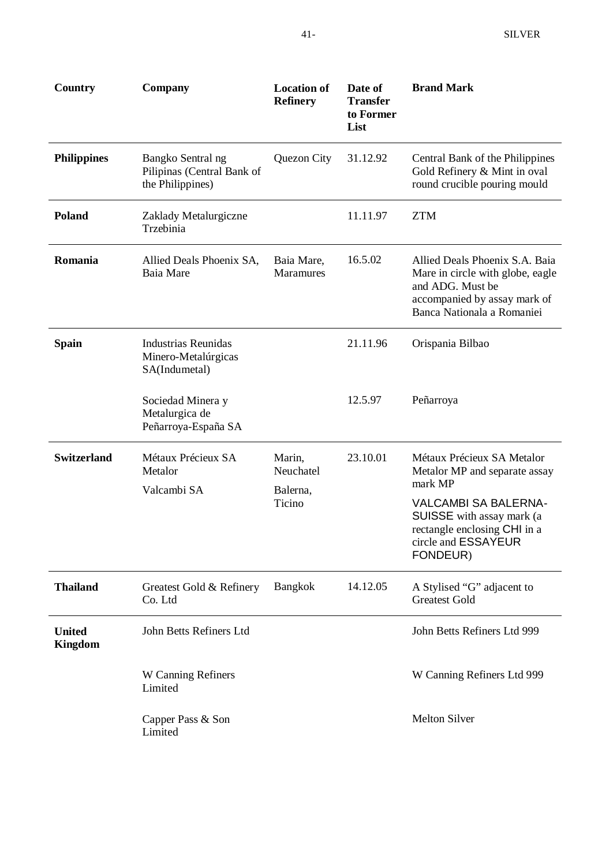| Country                         | Company                                                             | <b>Location of</b><br><b>Refinery</b> | Date of<br><b>Transfer</b><br>to Former<br>List | <b>Brand Mark</b>                                                                                                                                    |
|---------------------------------|---------------------------------------------------------------------|---------------------------------------|-------------------------------------------------|------------------------------------------------------------------------------------------------------------------------------------------------------|
| <b>Philippines</b>              | Bangko Sentral ng<br>Pilipinas (Central Bank of<br>the Philippines) | Quezon City                           | 31.12.92                                        | Central Bank of the Philippines<br>Gold Refinery & Mint in oval<br>round crucible pouring mould                                                      |
| <b>Poland</b>                   | Zaklady Metalurgiczne<br>Trzebinia                                  |                                       | 11.11.97                                        | <b>ZTM</b>                                                                                                                                           |
| Romania                         | Allied Deals Phoenix SA,<br>Baia Mare                               | Baia Mare,<br><b>Maramures</b>        | 16.5.02                                         | Allied Deals Phoenix S.A. Baia<br>Mare in circle with globe, eagle<br>and ADG. Must be<br>accompanied by assay mark of<br>Banca Nationala a Romaniei |
| <b>Spain</b>                    | <b>Industrias Reunidas</b><br>Minero-Metalúrgicas<br>SA(Indumetal)  |                                       | 21.11.96                                        | Orispania Bilbao                                                                                                                                     |
|                                 | Sociedad Minera y<br>Metalurgica de<br>Peñarroya-España SA          |                                       | 12.5.97                                         | Peñarroya                                                                                                                                            |
| <b>Switzerland</b>              | Métaux Précieux SA<br>Metalor<br>Valcambi SA                        | Marin,<br>Neuchatel<br>Balerna,       | 23.10.01                                        | Métaux Précieux SA Metalor<br>Metalor MP and separate assay<br>mark MP                                                                               |
|                                 |                                                                     | Ticino                                |                                                 | <b>VALCAMBI SA BALERNA-</b><br>SUISSE with assay mark (a<br>rectangle enclosing CHI in a<br>circle and ESSAYEUR<br>FONDEUR)                          |
| <b>Thailand</b>                 | Greatest Gold & Refinery<br>Co. Ltd                                 | <b>Bangkok</b>                        | 14.12.05                                        | A Stylised "G" adjacent to<br><b>Greatest Gold</b>                                                                                                   |
| <b>United</b><br><b>Kingdom</b> | John Betts Refiners Ltd                                             |                                       |                                                 | John Betts Refiners Ltd 999                                                                                                                          |
|                                 | W Canning Refiners<br>Limited                                       |                                       |                                                 | W Canning Refiners Ltd 999                                                                                                                           |
|                                 | Capper Pass & Son<br>Limited                                        |                                       |                                                 | <b>Melton Silver</b>                                                                                                                                 |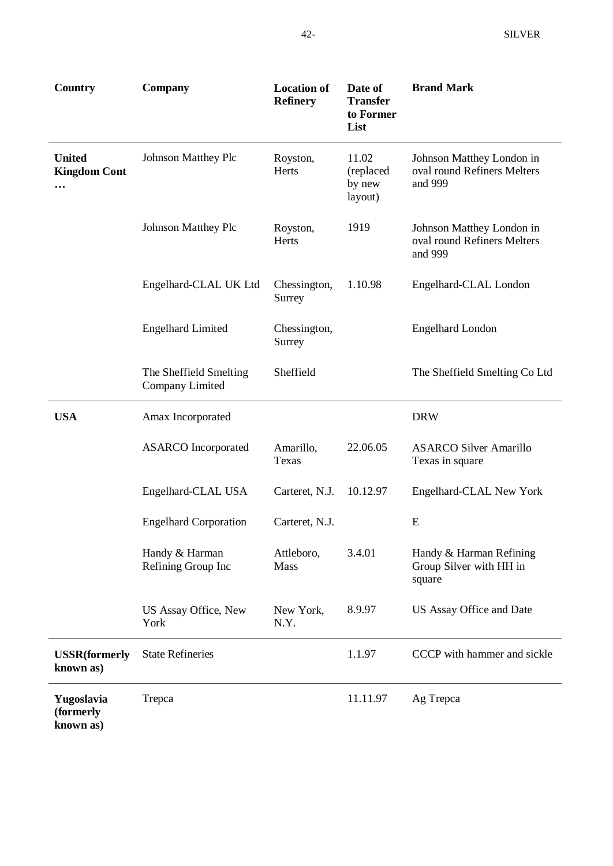| Country                                          | <b>Company</b>                            | <b>Location of</b><br><b>Refinery</b> | Date of<br><b>Transfer</b><br>to Former<br>List | <b>Brand Mark</b>                                                   |  |  |
|--------------------------------------------------|-------------------------------------------|---------------------------------------|-------------------------------------------------|---------------------------------------------------------------------|--|--|
| <b>United</b><br><b>Kingdom Cont</b><br>$\cdots$ | <b>Johnson Matthey Plc</b>                | Royston,<br>Herts                     | 11.02<br>(replaced<br>by new<br>layout)         | Johnson Matthey London in<br>oval round Refiners Melters<br>and 999 |  |  |
|                                                  | <b>Johnson Matthey Plc</b>                | Royston,<br>Herts                     | 1919                                            | Johnson Matthey London in<br>oval round Refiners Melters<br>and 999 |  |  |
|                                                  | Engelhard-CLAL UK Ltd                     | Chessington,<br>Surrey                | 1.10.98                                         | Engelhard-CLAL London                                               |  |  |
|                                                  | <b>Engelhard Limited</b>                  | Chessington,<br>Surrey                |                                                 | <b>Engelhard London</b>                                             |  |  |
|                                                  | The Sheffield Smelting<br>Company Limited | Sheffield                             |                                                 | The Sheffield Smelting Co Ltd                                       |  |  |
| <b>USA</b>                                       | Amax Incorporated                         |                                       | <b>DRW</b>                                      |                                                                     |  |  |
|                                                  | <b>ASARCO</b> Incorporated                | Amarillo,<br>Texas                    | 22.06.05                                        | <b>ASARCO Silver Amarillo</b><br>Texas in square                    |  |  |
|                                                  | Engelhard-CLAL USA                        | Carteret, N.J.                        | 10.12.97                                        | Engelhard-CLAL New York                                             |  |  |
|                                                  | <b>Engelhard Corporation</b>              | Carteret, N.J.                        |                                                 | E                                                                   |  |  |
|                                                  | Handy & Harman<br>Refining Group Inc      | Attleboro,<br>Mass                    | 3.4.01                                          | Handy & Harman Refining<br>Group Silver with HH in<br>square        |  |  |
|                                                  | US Assay Office, New<br>York              | New York,<br>N.Y.                     | 8.9.97                                          | US Assay Office and Date                                            |  |  |
| <b>USSR</b> (formerly<br>known as)               | <b>State Refineries</b>                   |                                       | 1.1.97                                          | CCCP with hammer and sickle                                         |  |  |
| Yugoslavia<br>(formerly<br>known as)             | Trepca                                    |                                       | 11.11.97                                        | Ag Trepca                                                           |  |  |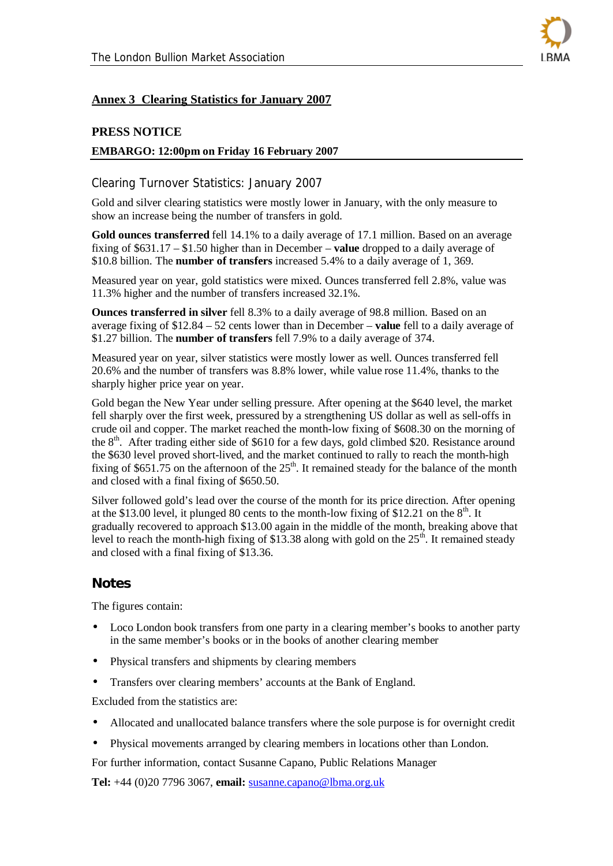

#### **Annex 3 Clearing Statistics for January 2007**

#### **PRESS NOTICE**

#### **EMBARGO: 12:00pm on Friday 16 February 2007**

#### Clearing Turnover Statistics: January 2007

Gold and silver clearing statistics were mostly lower in January, with the only measure to show an increase being the number of transfers in gold.

**Gold ounces transferred** fell 14.1% to a daily average of 17.1 million. Based on an average fixing of \$631.17 – \$1.50 higher than in December – **value** dropped to a daily average of \$10.8 billion. The **number of transfers** increased 5.4% to a daily average of 1, 369.

Measured year on year, gold statistics were mixed. Ounces transferred fell 2.8%, value was 11.3% higher and the number of transfers increased 32.1%.

**Ounces transferred in silver** fell 8.3% to a daily average of 98.8 million. Based on an average fixing of \$12.84 – 52 cents lower than in December – **value** fell to a daily average of \$1.27 billion. The **number of transfers** fell 7.9% to a daily average of 374.

Measured year on year, silver statistics were mostly lower as well. Ounces transferred fell 20.6% and the number of transfers was 8.8% lower, while value rose 11.4%, thanks to the sharply higher price year on year.

Gold began the New Year under selling pressure. After opening at the \$640 level, the market fell sharply over the first week, pressured by a strengthening US dollar as well as sell-offs in crude oil and copper. The market reached the month-low fixing of \$608.30 on the morning of the  $8<sup>th</sup>$ . After trading either side of \$610 for a few days, gold climbed \$20. Resistance around the \$630 level proved short-lived, and the market continued to rally to reach the month-high fixing of \$651.75 on the afternoon of the  $25<sup>th</sup>$ . It remained steady for the balance of the month and closed with a final fixing of \$650.50.

Silver followed gold's lead over the course of the month for its price direction. After opening at the \$13.00 level, it plunged 80 cents to the month-low fixing of \$12.21 on the  $8<sup>th</sup>$ . It gradually recovered to approach \$13.00 again in the middle of the month, breaking above that level to reach the month-high fixing of \$13.38 along with gold on the  $25<sup>th</sup>$ . It remained steady and closed with a final fixing of \$13.36.

#### *Notes*

The figures contain:

- Loco London book transfers from one party in a clearing member's books to another party in the same member's books or in the books of another clearing member
- Physical transfers and shipments by clearing members
- Transfers over clearing members' accounts at the Bank of England.

Excluded from the statistics are:

- Allocated and unallocated balance transfers where the sole purpose is for overnight credit
- Physical movements arranged by clearing members in locations other than London.

For further information, contact Susanne Capano, Public Relations Manager

**Tel:** +44 (0)20 7796 3067, **email:** susanne.capano@lbma.org.uk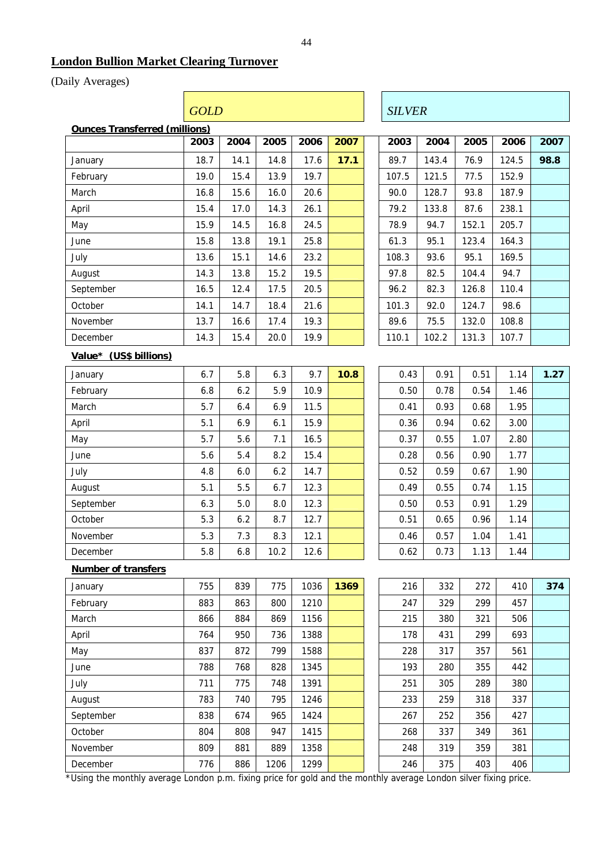#### **London Bullion Market Clearing Turnover**

Г

#### (Daily Averages)

|                               |      | <b>GOLD</b> |      |        |      |  |               | <b>SILVER</b> |       |        |      |  |  |
|-------------------------------|------|-------------|------|--------|------|--|---------------|---------------|-------|--------|------|--|--|
| Ounces Transferred (millions) |      |             |      |        |      |  |               |               |       |        |      |  |  |
|                               | 2003 | 2004        | 2005 | 2006   | 2007 |  | 2003          | 2004          | 2005  | 2006   | 2007 |  |  |
| January                       | 18.7 | 14.1        | 14.8 | 17.6   | 17.1 |  | 89.7          | 143.4         | 76.9  | 124.5  | 98.8 |  |  |
| February                      | 19.0 | 15.4        | 13.9 | 19.7   |      |  | 107.5         | 121.5         | 77.5  | 152.9  |      |  |  |
| March                         | 16.8 | 15.6        | 16.0 | 20.6   |      |  | 90.0          | 128.7         | 93.8  | 187.9  |      |  |  |
| April                         | 15.4 | 17.0        | 14.3 | 26.1   |      |  | 79.2          | 133.8         | 87.6  | 238.1  |      |  |  |
| May                           | 15.9 | 14.5        | 16.8 | 24.5   |      |  | 78.9          | 94.7          | 152.1 | 205.7  |      |  |  |
| June                          | 15.8 | 13.8        | 19.1 | 25.8   |      |  | 61.3          | 95.1          | 123.4 | 164.3  |      |  |  |
| July                          | 13.6 | 15.1        | 14.6 | 23.2   |      |  | 108.3         | 93.6          | 95.1  | 169.5  |      |  |  |
| August                        | 14.3 | 13.8        | 15.2 | 19.5   |      |  | 97.8          | 82.5          | 104.4 | 94.7   |      |  |  |
| September                     | 16.5 | 12.4        | 17.5 | 20.5   |      |  | 96.2          | 82.3          | 126.8 | 110.4  |      |  |  |
| October                       | 14.1 | 14.7        | 18.4 | 21.6   |      |  | 101.3         | 92.0          | 124.7 | 98.6   |      |  |  |
| November                      | 13.7 | 16.6        | 17.4 | 19.3   |      |  | 89.6          | 75.5          | 132.0 | 108.8  |      |  |  |
| December                      | 14.3 | 15.4        | 20.0 | 19.9   |      |  | 110.1         | 102.2         | 131.3 | 107.7  |      |  |  |
| Value* (US\$ billions)        |      |             |      |        |      |  |               |               |       |        |      |  |  |
| January                       | 6.7  | 5.8         | 6.3  | 9.7    | 10.8 |  | 0.43          | 0.91          | 0.51  | 1.14   | 1.27 |  |  |
| February                      | 6.8  | 6.2         | 5.9  | 10.9   |      |  | 0.50          | 0.78          | 0.54  | 1.46   |      |  |  |
| March                         | 5.7  | 6.4         | 6.9  | 11.5   |      |  | 0.41          | 0.93          | 0.68  | 1.95   |      |  |  |
| April                         | 5.1  | 6.9         | 6.1  | 15.9   |      |  | 0.36          | 0.94          | 0.62  | 3.00   |      |  |  |
| May                           | 5.7  | 5.6         | 7.1  | 16.5   |      |  | 0.37          | 0.55          | 1.07  | 2.80   |      |  |  |
| June                          | 5.6  | 5.4         | 8.2  | 15.4   |      |  | 0.28          | 0.56          | 0.90  | 1.77   |      |  |  |
| July                          | 4.8  | 6.0         | 6.2  | 14.7   |      |  | 0.52          | 0.59          | 0.67  | 1.90   |      |  |  |
| August                        | 5.1  | $5.5\,$     | 6.7  | 12.3   |      |  | 0.49          | 0.55          | 0.74  | 1.15   |      |  |  |
| September                     | 6.3  | 5.0         | 8.0  | 12.3   |      |  | 0.50          | 0.53          | 0.91  | 1.29   |      |  |  |
| October                       | 5.3  | 6.2         | 8.7  | 12.7   |      |  | 0.51          | 0.65          | 0.96  | 1.14   |      |  |  |
| November                      | 5.3  | 7.3         | 8.3  | 12.1   |      |  | 0.46          | 0.57          | 1.04  | 1.41   |      |  |  |
| December                      | 5.8  | 6.8         | 10.2 | 12.6   |      |  | 0.62          | 0.73          | 1.13  | 1.44   |      |  |  |
| Number of transfers           |      |             |      |        |      |  |               |               |       |        |      |  |  |
| January                       | 755  | 839         | 775  | 1036   | 1369 |  | 216           | 332           | 272   | 410    | 374  |  |  |
| February                      | 883  | 863         | 800  | 1210   |      |  | 247           | 329           | 299   | 457    |      |  |  |
| March                         | 866  | 884         | 869  | 1156   |      |  | 215           | 380           | 321   | 506    |      |  |  |
| April                         | 764  | 950         | 736  | 1388   |      |  | 178           | 431           | 299   | 693    |      |  |  |
| May                           | 837  | 872         | 799  | 1588   |      |  | 228           | 317           | 357   | 561    |      |  |  |
| June                          | 788  | 768         | 828  | 1345   |      |  | 193           | 280           | 355   | 442    |      |  |  |
| July                          | 711  | 775         | 748  | 1391   |      |  | 251           | 305           | 289   | 380    |      |  |  |
| August                        | 783  | 740         | 795  | 1246   |      |  | 233           | 259           | 318   | 337    |      |  |  |
|                               | 0.20 | $\sqrt{74}$ | 0.05 | $1121$ |      |  | $\sim$ $\sim$ | 252           | $2-1$ | $\sim$ |      |  |  |

| 0.43 | 0.91 | 0.51 | 1.14 | 1.27 |
|------|------|------|------|------|
| 0.50 | 0.78 | 0.54 | 1.46 |      |
| 0.41 | 0.93 | 0.68 | 1.95 |      |
| 0.36 | 0.94 | 0.62 | 3.00 |      |
| 0.37 | 0.55 | 1.07 | 2.80 |      |
| 0.28 | 0.56 | 0.90 | 1.77 |      |
| 0.52 | 0.59 | 0.67 | 1.90 |      |
| 0.49 | 0.55 | 0.74 | 1.15 |      |
| 0.50 | 0.53 | 0.91 | 1.29 |      |
| 0.51 | 0.65 | 0.96 | 1.14 |      |
| 0.46 | 0.57 | 1.04 | 1.41 |      |
| 0.62 | 0.73 | 1.13 | 1.44 |      |

| January                                                                                                        | 755 | 839 | 775  | 1036 | 1369 |  | 216 | 332 | 272 | 410 |
|----------------------------------------------------------------------------------------------------------------|-----|-----|------|------|------|--|-----|-----|-----|-----|
| February                                                                                                       | 883 | 863 | 800  | 1210 |      |  | 247 | 329 | 299 | 457 |
| March                                                                                                          | 866 | 884 | 869  | 1156 |      |  | 215 | 380 | 321 | 506 |
| April                                                                                                          | 764 | 950 | 736  | 1388 |      |  | 178 | 431 | 299 | 693 |
| May                                                                                                            | 837 | 872 | 799  | 1588 |      |  | 228 | 317 | 357 | 561 |
| June                                                                                                           | 788 | 768 | 828  | 1345 |      |  | 193 | 280 | 355 | 442 |
| July                                                                                                           | 711 | 775 | 748  | 1391 |      |  | 251 | 305 | 289 | 380 |
| August                                                                                                         | 783 | 740 | 795  | 1246 |      |  | 233 | 259 | 318 | 337 |
| September                                                                                                      | 838 | 674 | 965  | 1424 |      |  | 267 | 252 | 356 | 427 |
| October                                                                                                        | 804 | 808 | 947  | 1415 |      |  | 268 | 337 | 349 | 361 |
| November                                                                                                       | 809 | 881 | 889  | 1358 |      |  | 248 | 319 | 359 | 381 |
| December                                                                                                       | 776 | 886 | 1206 | 1299 |      |  | 246 | 375 | 403 | 406 |
| Using the menthly everage Landen n m, fiving price for gold and the menthly everage Landen silver fiving price |     |     |      |      |      |  |     |     |     |     |

\*Using the monthly average London p.m. fixing price for gold and the monthly average London silver fixing price.

 $\overline{\phantom{a}}$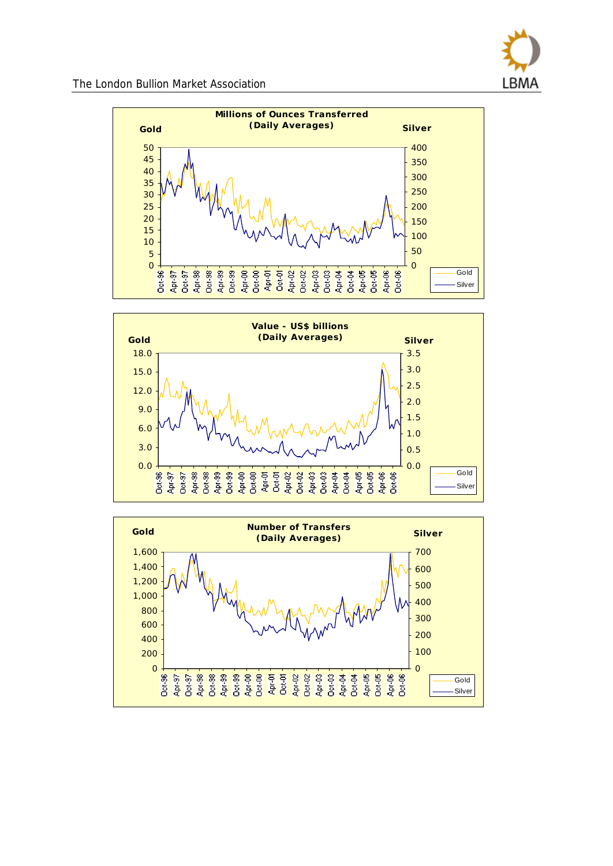